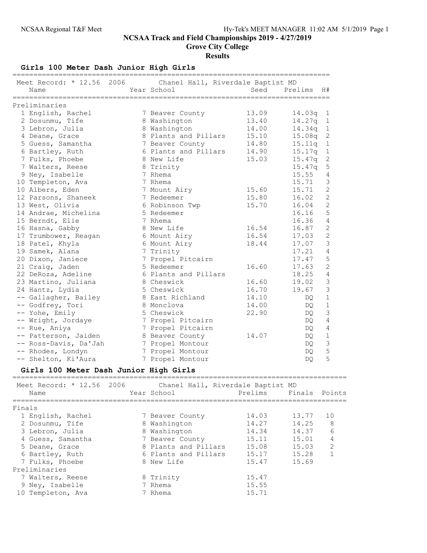Grove City College

**Results** 

Girls 100 Meter Dash Junior High Girls

| Meet Record: * 12.56 2006            | Chanel Hall, Riverdale Baptist MD       |                |                                     |
|--------------------------------------|-----------------------------------------|----------------|-------------------------------------|
| Name                                 | Year School                             | Seed           | Prelims<br>H#                       |
|                                      |                                         |                | =============================       |
| Preliminaries                        |                                         |                |                                     |
| 1 English, Rachel                    | 7 Beaver County                         | 13.09<br>13.40 | 14.03q<br>1                         |
| 2 Dosunmu, Tife                      | 8 Washington                            |                | 14.27q<br>$\mathbf{1}$              |
| 3 Lebron, Julia                      | 8 Washington                            | 14.00          | 14.34q<br>$\mathbf{1}$              |
| 4 Deane, Grace<br>5 Guess, Samantha  | 8 Plants and Pillars                    | 15.10<br>14.80 | $\sqrt{2}$<br>15.08q<br>$\mathbf 1$ |
|                                      | 7 Beaver County<br>6 Plants and Pillars |                | 15.11q                              |
| 6 Bartley, Ruth                      | 8 New Life                              | 14.90          | $\mathbbm{1}$<br>15.17q             |
| 7 Fulks, Phoebe                      |                                         | 15.03          | $\sqrt{2}$<br>15.47q<br>$\mathsf S$ |
| 7 Walters, Reese                     | 8 Trinity<br>7 Rhema                    |                | 15.47q<br>15.55<br>$\overline{4}$   |
| 9 Ney, Isabelle                      | 7 Rhema                                 |                | $\mathcal{S}$<br>15.71              |
| 10 Templeton, Ava<br>10 Albers, Eden | 7 Mount Airy                            | 15.60          | $\overline{c}$<br>15.71             |
| 12 Parsons, Shaneek                  | 7 Redeemer                              | 15.80          | $\overline{c}$<br>16.02             |
| 13 West, Olivia                      | 6 Robinson Twp                          | 15.70          | $\overline{2}$<br>16.04             |
| 14 Andrae, Michelina                 | 5 Redeemer                              |                | 5<br>16.16                          |
| 15 Berndt, Elie                      | 7 Rhema                                 |                | $\sqrt{4}$<br>16.36                 |
| 16 Hasna, Gabby                      | 8 New Life                              | 16.54          | $\overline{c}$<br>16.87             |
| 17 Trumbower, Reagan                 | 6 Mount Airy                            | 16.54          | $\overline{c}$<br>17.03             |
| 18 Patel, Khyla                      | 6 Mount Airy                            | 18.44          | $\mathcal{S}$<br>17.07              |
| 19 Samek, Alana                      | 7 Trinity                               |                | $\overline{4}$<br>17.21             |
| 20 Dixon, Janiece                    | 7 Propel Pitcairn                       |                | 5<br>17.47                          |
| 21 Craig, Jaden                      | 5 Redeemer                              | 16.60          | $\overline{c}$<br>17.63             |
| 22 DeRoza, Adeline                   | 6 Plants and Pillars                    |                | $\sqrt{4}$<br>18.25                 |
| 23 Martino, Juliana                  | 8 Cheswick                              | 16.60          | $\mathfrak{Z}$<br>19.02             |
| 24 Hantz, Lydia                      | 5 Cheswick                              | 16.70          | $\mathcal{S}$<br>19.67              |
| -- Gallagher, Bailey                 | 8 East Richland                         | 14.10          | $1\,$<br>DQ.                        |
| -- Godfrey, Tori                     | 8 Monclova                              | 14.00          | $\mathbf 1$<br>DQ.                  |
| -- Yohe, Emily                       | 5 Cheswick                              | 22.90          | $\mathfrak{Z}$<br>DQ.               |
| -- Wright, Jordaye                   | 7 Propel Pitcairn                       |                | $\overline{4}$<br>DQ.               |
| -- Rue, Aniya                        | 7 Propel Pitcairn                       |                | $\sqrt{4}$<br>DQ.                   |
| -- Patterson, Jaiden                 | 8 Beaver County                         | 14.07          | $\mathbf 1$<br>DQ.                  |
| -- Ross-Davis, Da'Jah                | 7 Propel Montour                        |                | $\mathfrak{Z}$<br>DQ                |
| -- Rhodes, Londyn                    | 7 Propel Montour                        |                | 5<br>DQ.                            |
| -- Shelton, Ki'Aura                  | 7 Propel Montour                        |                | 5<br>DQ.                            |

## Girls 100 Meter Dash Junior High Girls

| Meet Record: * 12.56 2006<br>Name | Chanel Hall, Riverdale Baptist MD<br>Year School | Prelims | Finals | Points         |
|-----------------------------------|--------------------------------------------------|---------|--------|----------------|
| Finals                            |                                                  |         |        |                |
| 1 English, Rachel                 | 7 Beaver County                                  | 14.03   | 13.77  | 10             |
| 2 Dosunmu, Tife                   | 8 Washington                                     | 14.27   | 14.25  | 8              |
| 3 Lebron, Julia                   | 8 Washington                                     | 14.34   | 14.37  | 6              |
| 4 Guess, Samantha                 | 7 Beaver County                                  | 15.11   | 15.01  | 4              |
| 5 Deane, Grace                    | 8 Plants and Pillars                             | 15.08   | 15.03  | $\overline{2}$ |
| 6 Bartley, Ruth                   | 6 Plants and Pillars                             | 15.17   | 15.28  |                |
| 7 Fulks, Phoebe                   | 8 New Life                                       | 15.47   | 15.69  |                |
| Preliminaries                     |                                                  |         |        |                |
| 7 Walters, Reese                  | 8 Trinity                                        | 15.47   |        |                |
| 9 Ney, Isabelle                   | 7 Rhema                                          | 15.55   |        |                |
| 10 Templeton, Ava                 | 7 Rhema                                          | 15.71   |        |                |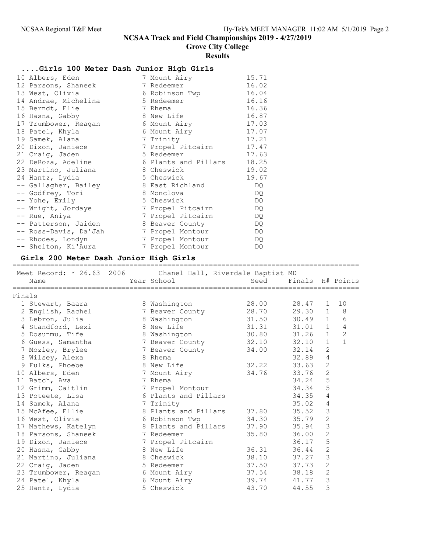Grove City College

# Results

# ....Girls 100 Meter Dash Junior High Girls

| 10 Albers, Eden       | 7 Mount Airy         | 15.71 |
|-----------------------|----------------------|-------|
| 12 Parsons, Shaneek   | 7 Redeemer           | 16.02 |
| 13 West, Olivia       | 6 Robinson Twp       | 16.04 |
| 14 Andrae, Michelina  | 5 Redeemer           | 16.16 |
| 15 Berndt, Elie       | 7 Rhema              | 16.36 |
| 16 Hasna, Gabby       | 8 New Life           | 16.87 |
| 17 Trumbower, Reagan  | 6 Mount Airy         | 17.03 |
| 18 Patel, Khyla       | 6 Mount Airy         | 17.07 |
| 19 Samek, Alana       | 7 Trinity            | 17.21 |
| 20 Dixon, Janiece     | 7 Propel Pitcairn    | 17.47 |
| 21 Craig, Jaden       | 5 Redeemer           | 17.63 |
| 22 DeRoza, Adeline    | 6 Plants and Pillars | 18.25 |
| 23 Martino, Juliana   | 8 Cheswick           | 19.02 |
| 24 Hantz, Lydia       | 5 Cheswick           | 19.67 |
| -- Gallagher, Bailey  | 8 East Richland      | DQ.   |
| -- Godfrey, Tori      | 8 Monclova           | DQ.   |
| -- Yohe, Emily        | 5 Cheswick           | DQ.   |
| -- Wright, Jordaye    | 7 Propel Pitcairn    | DQ    |
| -- Rue, Aniya         | 7 Propel Pitcairn    | DQ    |
| -- Patterson, Jaiden  | 8 Beaver County      | DQ    |
| -- Ross-Davis, Da'Jah | 7 Propel Montour     | DQ.   |
| -- Rhodes, Londyn     | 7 Propel Montour     | DQ    |
| -- Shelton, Ki'Aura   | 7 Propel Montour     | DQ    |

# Girls 200 Meter Dash Junior High Girls

|        | Meet Record: * 26.63 2006 Chanel Hall, Riverdale Baptist MD<br>Name | Year School          | Seed  | Finals H# Points |                |                |
|--------|---------------------------------------------------------------------|----------------------|-------|------------------|----------------|----------------|
| Finals |                                                                     |                      |       |                  |                |                |
|        | 1 Stewart, Baara                                                    | 8 Washington         | 28.00 | 28.47            | 1              | 10             |
|        | 2 English, Rachel                                                   | 7 Beaver County      | 28.70 | 29.30            | $\mathbf{1}$   | 8              |
|        | 3 Lebron, Julia                                                     | 8 Washington         | 31.50 | 30.49            | $\mathbf{1}$   | 6              |
|        | 4 Standford, Lexi                                                   | 8 New Life           | 31.31 | 31.01            | $\mathbf{1}$   | 4              |
|        | 5 Dosunmu, Tife                                                     | 8 Washington         | 30.80 | 31.26            | $\mathbf{1}$   | $\overline{c}$ |
|        | 6 Guess, Samantha                                                   | 7 Beaver County      | 32.10 | 32.10            | $\mathbf{1}$   | $\mathbf{1}$   |
|        | 7 Mozley, Brylee                                                    | 7 Beaver County      | 34.00 | 32.14            | $\overline{2}$ |                |
|        | 8 Wilsey, Alexa                                                     | 8 Rhema              |       | 32.89            | $\overline{4}$ |                |
|        | 9 Fulks, Phoebe                                                     | 8 New Life           | 32.22 | 33.63            | $\overline{2}$ |                |
|        | 10 Albers, Eden                                                     | 7 Mount Airy         | 34.76 | 33.76            | $\mathbf{2}$   |                |
|        | 11 Batch, Ava                                                       | 7 Rhema              |       | 34.24            | 5              |                |
|        | 12 Grimm, Caitlin                                                   | 7 Propel Montour     |       | 34.34            | 5              |                |
|        | 13 Poteete, Lisa                                                    | 6 Plants and Pillars |       | 34.35            | 4              |                |
|        | 14 Samek, Alana                                                     | 7 Trinity            |       | 35.02            | 4              |                |
|        | 15 McAfee, Ellie                                                    | 8 Plants and Pillars | 37.80 | 35.52            | 3              |                |
|        | 16 West, Olivia                                                     | 6 Robinson Twp       | 34.30 | 35.79            | 2              |                |
|        | 17 Mathews, Katelyn                                                 | 8 Plants and Pillars | 37.90 | 35.94            | 3              |                |
|        | 18 Parsons, Shaneek                                                 | 7 Redeemer           | 35.80 | 36.00            | $\overline{2}$ |                |
|        | 19 Dixon, Janiece                                                   | 7 Propel Pitcairn    |       | 36.17            | 5              |                |
|        | 20 Hasna, Gabby                                                     | 8 New Life           | 36.31 | 36.44            | $\mathbf{2}$   |                |
|        | 21 Martino, Juliana                                                 | 8 Cheswick           | 38.10 | 37.27            | 3              |                |
|        | 22 Craig, Jaden                                                     | 5 Redeemer           | 37.50 | 37.73            | $\overline{c}$ |                |
|        | 23 Trumbower, Reagan                                                | 6 Mount Airy         | 37.54 | 38.18            | $\overline{2}$ |                |
|        | 24 Patel, Khyla                                                     | 6 Mount Airy         | 39.74 | 41.77            | 3              |                |
|        | 25 Hantz, Lydia                                                     | 5 Cheswick           | 43.70 | 44.55            | 3              |                |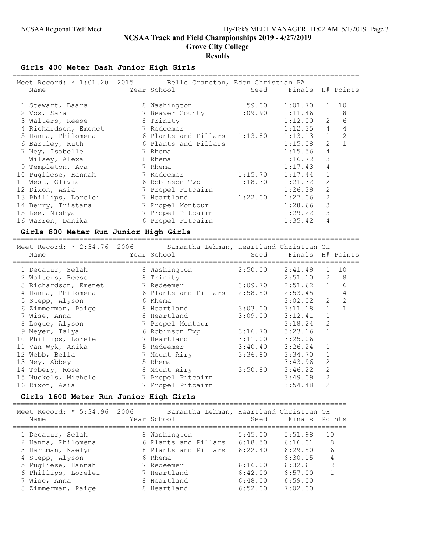Grove City College

#### Results

Girls 400 Meter Dash Junior High Girls

| Meet Record: * 1:01.20 2015 Belle Cranston, Eden Christian PA |                         |         |                  |                |    |
|---------------------------------------------------------------|-------------------------|---------|------------------|----------------|----|
| Name                                                          | Year School             | Seed    | Finals H# Points |                |    |
|                                                               |                         |         |                  |                |    |
| 1 Stewart, Baara                                              | 8 Washington            | 59.00   | 1:01.70          | $\mathbf{1}$   | 10 |
| 2 Vos, Sara                                                   | 7 Beaver County 1:09.90 |         | 1:11.46          | $\mathbf{1}$   | 8  |
| 3 Walters, Reese                                              | 8 Trinity               |         | 1:12.00          | 2              | 6  |
| 4 Richardson, Emenet                                          | 7 Redeemer              |         | 1:12.35          | $\overline{4}$ | 4  |
| 5 Hanna, Philomena                                            | 6 Plants and Pillars    | 1:13.80 | 1:13.13          | $\mathbf{1}$   | 2  |
| 6 Bartley, Ruth                                               | 6 Plants and Pillars    |         | 1:15.08          | $\overline{2}$ |    |
| 7 Ney, Isabelle                                               | 7 Rhema                 |         | 1:15.56          | 4              |    |
| 8 Wilsey, Alexa                                               | 8 Rhema                 |         | 1:16.72          | 3              |    |
| 9 Templeton, Ava                                              | 7 Rhema                 |         | 1:17.43          | 4              |    |
| 10 Pugliese, Hannah                                           | 7 Redeemer              | 1:15.70 | 1:17.44          |                |    |
| 11 West, Olivia                                               | 6 Robinson Twp          | 1:18.30 | 1:21.32          | 2              |    |
| 12 Dixon, Asia                                                | 7 Propel Pitcairn       |         | 1:26.39          | 2              |    |
| 13 Phillips, Lorelei                                          | 7 Heartland             | 1:22.00 | 1:27.06          |                |    |
| 14 Berry, Tristana                                            | 7 Propel Montour        |         | 1:28.66          | 3              |    |
| 15 Lee, Nishya                                                | 7 Propel Pitcairn       |         | 1:29.22          | 3              |    |
| 16 Warren, Danika                                             | 6 Propel Pitcairn       |         | 1:35.42          |                |    |

#### Girls 800 Meter Run Junior High Girls

=================================================================================== Meet Record: \* 2:34.76 2006 Samantha Lehman, Heartland Christian OH Name Year School Seed Finals H# Points =================================================================================== 1 Decatur, Selah 8 Washington 2:50.00 2:41.49 1 10 2 Walters, Reese 8 Trinity 2:51.10 2 8 3 Richardson, Emenet 7 Redeemer 3:09.70 2:51.62 1 6 4 Hanna, Philomena 6 Plants and Pillars 2:58.50 2:53.45 1 4 5 Stepp, Alyson 6 Rhema 3:02.02 2 2 6 Zimmerman, Paige 8 Heartland 3:03.00 3:11.18 1 1 7 Wise, Anna 8 Heartland 3:09.00 3:12.41 1 8 Logue, Alyson 7 Propel Montour 3:18.24 2 9 Meyer, Talya 6 Robinson Twp 3:16.70 3:23.16 1 10 Phillips, Lorelei 7 Heartland 3:11.00 3:25.06 1 11 Van Wyk, Anika 5 Redeemer 3:40.40 3:26.24 1 12 Webb, Bella 7 Mount Airy 3:36.80 3:34.70 1 13 Ney, Abbey 5 Rhema 3:43.96 2 14 Tobery, Rose 8 Mount Airy 3:50.80 3:46.22 2 15 Nuckels, Michele 7 Propel Pitcairn 3:49.09 2 16 Dixon, Asia 7 Propel Pitcairn 3:54.48 2

### Girls 1600 Meter Run Junior High Girls

================================================================================ Meet Record: \* 5:34.96 2006 Samantha Lehman, Heartland Christian OH Name The Year School Seed Finals Points ================================================================================ 1 Decatur, Selah 8 Washington 5:45.00 5:51.98 10 2 Hanna, Philomena 6 Plants and Pillars 6:18.50 6:16.01 8 3 Hartman, Kaelyn 8 Plants and Pillars 6:22.40 6:29.50 6 4 Stepp, Alyson 6 Rhema 6:30.15 4 5 Pugliese, Hannah 7 Redeemer 6:16.00 6:32.61 2 6 Phillips, Lorelei 7 Heartland 6:42.00 6:57.00 1 7 Wise, Anna 8 Heartland 6:48.00 6:59.00 8 Zimmerman, Paige 8 Heartland 6:52.00 7:02.00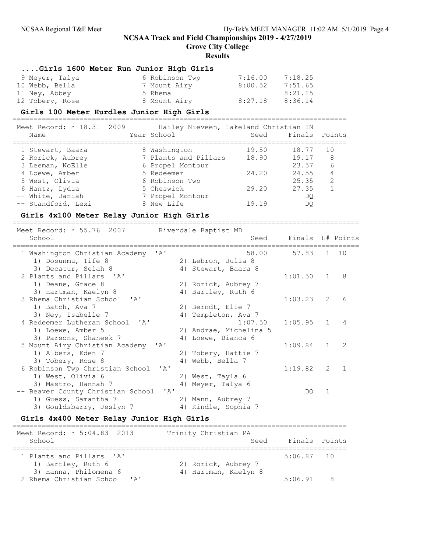Grove City College

#### **Results**

## ....Girls 1600 Meter Run Junior High Girls

| 9 Meyer, Talya  | 6 Robinson Twp | 7:16.00 | 7:18.25 |
|-----------------|----------------|---------|---------|
| 10 Webb, Bella  | 7 Mount Airy   | 8:00.52 | 7:51.65 |
| 11 Ney, Abbey   | 5 Rhema        |         | 8:21.15 |
| 12 Tobery, Rose | 8 Mount Airy   | 8:27.18 | 8:36.14 |

### Girls 100 Meter Hurdles Junior High Girls

================================================================================

| Meet Record: * 18.31 2009 | Hailey Nieveen, Lakeland Christian IN |       |               |               |
|---------------------------|---------------------------------------|-------|---------------|---------------|
| Name                      | Year School                           | Seed  | Finals Points |               |
| 1 Stewart, Baara          | 8 Washington                          | 19.50 | 18.77         | 10            |
| 2 Rorick, Aubrey          | 7 Plants and Pillars                  | 18.90 | 19.17         | 8             |
| 3 Leeman, NoElle          | 6 Propel Montour                      |       | 23.57         | 6             |
| 4 Loewe, Amber            | 5 Redeemer                            | 24.20 | 24.55         | 4             |
| 5 West, Olivia            | 6 Robinson Twp                        |       | 25.35         | $\mathcal{L}$ |
| 6 Hantz, Lydia            | 5 Cheswick                            | 29.20 | 27.35         |               |
| -- White, Janiah          | 7 Propel Montour                      |       | DO            |               |
| -- Standford, Lexi        | 8 New Life                            | 19.19 | DO            |               |

#### Girls 4x100 Meter Relay Junior High Girls

=================================================================================== Meet Record: \* 55.76 2007 Riverdale Baptist MD School Seed Finals H# Points =================================================================================== 1 Washington Christian Academy 'A' 58.00 57.83 1 10 1) Dosunmu, Tife 8 2) Lebron, Julia 8 3) Decatur, Selah 8 4) Stewart, Baara 8 2 Plants and Pillars 'A' 1:01.50 1 8 1) Deane, Grace 8 2) Rorick, Aubrey 7 3) Hartman, Kaelyn 8 1944 (4) Bartley, Ruth 6 3 Rhema Christian School 'A' 1:03.23 2 6<br>1) Batch, Ava 7 2) Berndt, Elie 7<br>3) Ney, Isabelle 7 4) Templeton, Ava 7 1) Batch, Ava 7 2) Berndt, Elie 7 3) Ney, Isabelle 7 (4) Templeton, Ava 7 4 Redeemer Lutheran School 'A' 1:07.50 1:05.95 1 4<br>1) Loewe, Amber 5 2) Andrae, Michelina 5 1) Loewe, Amber 5 2) Andrae, Michelina 5 3) Parsons, Shaneek 7 (4) Loewe, Bianca 6 5 Mount Airy Christian Academy 'A' 1:09.84 1 2<br>1) Albers, Eden 7 2 2 Tobery, Hattie 7 1) Albers, Eden 7 2) Tobery, Hattie 7 3) Tobery, Rose 8 4) Webb, Bella 7 6 Robinson Twp Christian School 'A' 1:19.82 2 1<br>1) West, Olivia 6 2) West, Tayla 6 1) West, Olivia 6 2) West, Tayla 6<br>3) Mastro, Hannah 7 3 4) Meyer, Talya 6 3) Mastro, Hannah 7 -- Beaver County Christian School 'A' DQ 1<br>
1) Guess, Samantha 7 2) Mann, Aubrey 7 1) Guess, Samantha 7 (2) Mann, Aubrey 7 3) Gouldsbarry, Jeslyn 7 (4) Kindle, Sophia 7

#### Girls 4x400 Meter Relay Junior High Girls

| Meet Record: * 5:04.83 2013<br>School                 | Trinity Christian PA<br>Seed | Finals Points |   |
|-------------------------------------------------------|------------------------------|---------------|---|
| 1 Plants and Pillars 'A'<br>1) Bartley, Ruth 6        | 2) Rorick, Aubrey 7          | $5:06.87$ 10  |   |
| 3) Hanna, Philomena 6<br>2 Rhema Christian School 'A' | 4) Hartman, Kaelyn 8         | $5.06$ 91     | R |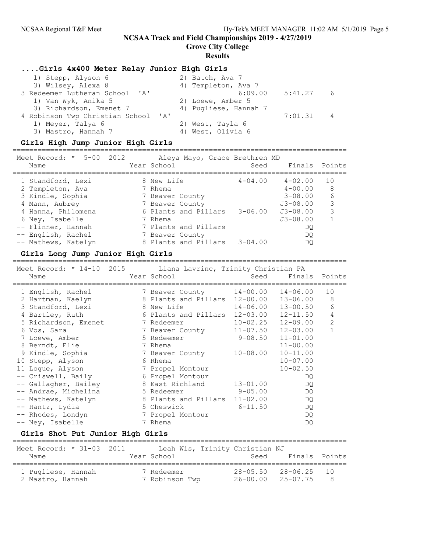Grove City College

### Results

### ....Girls 4x400 Meter Relay Junior High Girls

| 6              |
|----------------|
|                |
|                |
| $\overline{4}$ |
|                |
|                |
|                |

## Girls High Jump Junior High Girls

| Meet Record: $*$ 5-00 2012<br>Name | Aleya Mayo, Grace Brethren MD<br>Year School |             | Seed Finals Points |    |
|------------------------------------|----------------------------------------------|-------------|--------------------|----|
| 1 Standford, Lexi                  | 8 New Life                                   | $4 - 04.00$ | $4 - 02.00$        | 10 |
| 2 Templeton, Ava                   | 7 Rhema                                      |             | $4 - 00.00$        | 8  |
| 3 Kindle, Sophia                   | 7 Beaver County                              |             | $3 - 08.00$        | 6  |
| 4 Mann, Aubrey                     | 7 Beaver County                              |             | $J3 - 08.00$       | 3  |
| 4 Hanna, Philomena                 | 6 Plants and Pillars                         | $3 - 06.00$ | $J3 - 08.00$       | 3  |
| 6 Ney, Isabelle                    | 7 Rhema                                      |             | $J3 - 08.00$       |    |
| -- Flinner, Hannah                 | 7 Plants and Pillars                         |             | DO                 |    |
| -- English, Rachel                 | 7 Beaver County                              |             | DO                 |    |
| -- Mathews, Katelyn                | 8 Plants and Pillars                         | $3 - 04.00$ | DO                 |    |

#### Girls Long Jump Junior High Girls

## ================================================================================

| Meet Record: * 14-10 2015 Liana Lavrinc, Trinity Christian PA |                                                                                                               |                              |              |
|---------------------------------------------------------------|---------------------------------------------------------------------------------------------------------------|------------------------------|--------------|
| Name                                                          | Year School                                                                                                   | Seed Finals Points           |              |
| 1 English, Rachel 7 Beaver County 14-00.00 14-06.00           |                                                                                                               |                              | 10           |
| 2 Hartman, Kaelyn                                             | 8 Plants and Pillars 12-00.00                                                                                 | 13-06.00                     | 8            |
| 3 Standford, Lexi                                             | 8 New Life the state of the Second State of the Second State of the Second State of the Second State State of | $14 - 06.00$ $13 - 00.50$    | 6            |
| 4 Bartley, Ruth                                               | 6 Plants and Pillars 12-03.00 12-11.50                                                                        |                              | 4            |
| 5 Richardson, Emenet                                          | 7 Redeemer                                                                                                    | $10 - 02.25$ $12 - 09.00$    | 2            |
| 6 Vos, Sara                                                   | 7 Beaver County                                                                                               | $11 - 07.50$ $12 - 03.00$    | $\mathbf{1}$ |
| 7 Loewe, Amber                                                | 5 Redeemer                                                                                                    | $9 - 08.50$ $11 - 01.00$     |              |
| 8 Berndt, Elie                                                | 7 Rhema                                                                                                       | $11 - 00.00$                 |              |
| 9 Kindle, Sophia                                              | 7 Beaver County                                                                                               | $10 - 11.00$<br>$10 - 08.00$ |              |
| 10 Stepp, Alyson                                              | 6 Rhema                                                                                                       | $10 - 07.00$                 |              |
| 11 Logue, Alyson                                              | 7 Propel Montour                                                                                              | $10 - 02.50$                 |              |
| -- Criswell, Baily                                            | 6 Propel Montour                                                                                              | DQ.                          |              |
| -- Gallagher, Bailey                                          | 8 East Richland                                                                                               | $13 - 01.00$<br>DQ.          |              |
| -- Andrae, Michelina                                          | 5 Redeemer                                                                                                    | $9 - 05.00$<br>DQ            |              |
| -- Mathews, Katelyn                                           | 8 Plants and Pillars 11-02.00                                                                                 | DQ.                          |              |
| -- Hantz, Lydia                                               | 5 Cheswick                                                                                                    | $6 - 11.50$<br>DQ.           |              |
| -- Rhodes, Londyn                                             | 7 Propel Montour                                                                                              | DQ                           |              |
| -- Ney, Isabelle                                              | 7 Rhema                                                                                                       | DQ.                          |              |

## Girls Shot Put Junior High Girls

| Meet Record: * 31-03 2011<br>Name      | Year School                  | Leah Wis, Trinity Christian NJ<br>Seed | Finals Points             |         |
|----------------------------------------|------------------------------|----------------------------------------|---------------------------|---------|
| 1 Pugliese, Hannah<br>2 Mastro, Hannah | 7 Redeemer<br>7 Robinson Twp | $26 - 00.00$ $25 - 07.75$              | $28 - 05.50$ $28 - 06.25$ | 10<br>R |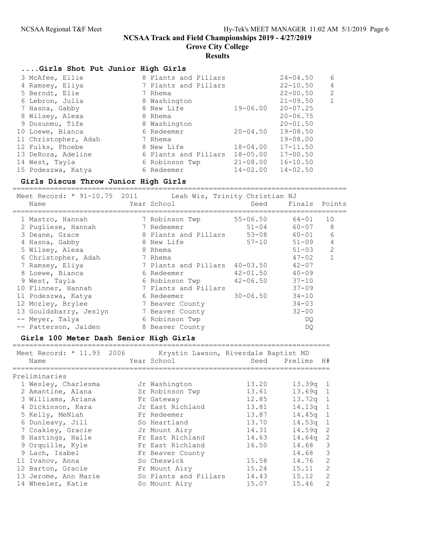Grove City College

## **Results**

## ....Girls Shot Put Junior High Girls

| 3 McAfee, Ellie      | 8 Plants and Pillars |              | $24 - 04.50$ | 6 |
|----------------------|----------------------|--------------|--------------|---|
|                      |                      |              |              |   |
| 4 Ramsey, Eliya      | 7 Plants and Pillars |              | $22 - 10.50$ | 4 |
| 5 Berndt, Elie       | 7 Rhema              |              | $22 - 00.50$ | 2 |
| 6 Lebron, Julia      | 8 Washington         |              | $21 - 09.50$ | 1 |
| 7 Hasna, Gabby       | 8 New Life           | 19-06.00     | $20 - 07.25$ |   |
| 8 Wilsey, Alexa      | 8 Rhema              |              | $20 - 06.75$ |   |
| 9 Dosunmu, Tife      | 8 Washington         |              | $20 - 01.50$ |   |
| 10 Loewe, Bianca     | 6 Redeemer           | $20 - 04.50$ | $19 - 08.50$ |   |
| 11 Christopher, Adah | 7 Rhema              |              | $19 - 08.00$ |   |
| 12 Fulks, Phoebe     | 8 New Life           | $18 - 04.00$ | $17 - 11.50$ |   |
| 13 DeRoza, Adeline   | 6 Plants and Pillars | $18 - 05.00$ | $17 - 00.50$ |   |
| 14 West, Tayla       | 6 Robinson Twp       | $21 - 08.00$ | $16 - 10.50$ |   |
| 15 Podeszwa, Katya   | 6 Redeemer           | $14 - 02.00$ | $14 - 02.50$ |   |

# Girls Discus Throw Junior High Girls

| Meet Record: * 91-10.75 2011<br>Name | Leah Wis, Trinity Christian NJ<br>Year School | Seed         | Finals Points |    |
|--------------------------------------|-----------------------------------------------|--------------|---------------|----|
| 1 Mastro, Hannah                     | 7 Robinson Twp                                | $55 - 06.50$ | 64-01         | 10 |
| 2 Pugliese, Hannah                   | 7 Redeemer                                    | $51 - 04$    | $60 - 07$     | 8  |
| 3 Deane, Grace                       | 8 Plants and Pillars                          | $53 - 08$    | $60 - 01$     | 6  |
| 4 Hasna, Gabby                       | 8 New Life                                    | $57 - 10$    | $51 - 09$     | 4  |
| 5 Wilsey, Alexa                      | 8 Rhema                                       |              | $51 - 03$     | 2  |
| 6 Christopher, Adah                  | 7 Rhema                                       |              | $47 - 02$     |    |
| 7 Ramsey, Eliya                      | 7 Plants and Pillars                          | $40 - 03.50$ | $42 - 07$     |    |
| 8 Loewe, Bianca                      | 6 Redeemer                                    | $42 - 01.50$ | $40 - 09$     |    |
| 9 West, Tayla                        | 6 Robinson Twp                                | $42 - 06.50$ | $37 - 10$     |    |
| 10 Flinner, Hannah                   | 7 Plants and Pillars                          |              | $37 - 09$     |    |
| 11 Podeszwa, Katya                   | 6 Redeemer                                    | $30 - 06.50$ | $34 - 10$     |    |
| 12 Mozley, Brylee                    | 7 Beaver County                               |              | $34 - 03$     |    |
| 13 Gouldsbarry, Jeslyn               | 7 Beaver County                               |              | $32 - 00$     |    |
| -- Meyer, Talya                      | 6 Robinson Twp                                |              | DQ.           |    |
| -- Patterson, Jaiden                 | 8 Beaver County                               |              | DQ.           |    |

## Girls 100 Meter Dash Senior High Girls

| Meet Record: * 11.93 2006<br>Name | Krystin Lawson, Riverdale Baptist MD<br>Year School | Seed  | H#<br>Prelims                      |
|-----------------------------------|-----------------------------------------------------|-------|------------------------------------|
| Preliminaries                     |                                                     |       |                                    |
| 1 Wesley, Charlesma               | Jr Washington                                       | 13.20 | 13.39q 1                           |
| 2 Amantine, Alana                 | Sr Robinson Twp                                     | 13.61 | $13.69q$ 1                         |
| 3 Williams, Ariana                | Fr Gateway                                          | 12.85 | 13.72a<br>$\overline{1}$           |
| 4 Dickinson, Kara                 | Jr East Richland                                    | 13.81 | 14.13a<br>$\sqrt{1}$               |
| 5 Kelly, MeNiah                   | Fr Redeemer                                         | 13.87 | 14.45g<br>$\overline{1}$           |
| 6 Dunleavy, Jill                  | So Heartland                                        | 13.70 | 14.53 <sub>q</sub><br>$\mathbf{1}$ |
| 7 Coakley, Gracie                 | Jr Mount Airy                                       | 14.31 | -2<br>14.59a                       |
| 8 Hastings, Halle                 | Fr East Richland                                    | 14.63 | 2<br>14.64g                        |
| 9 Orquille, Kyle                  | Fr East Richland                                    | 16.50 | 3<br>14.68                         |
| 9 Lach, Isabel                    | Fr Beaver County                                    |       | 3<br>14.68                         |
| 11 Ivanov, Anna                   | So Cheswick                                         | 15.58 | 2<br>14.76                         |
| 12 Barton, Gracie                 | Fr Mount Airy                                       | 15.24 | 2<br>15.11                         |
| 13 Jerome, Ann Marie              | So Plants and Pillars                               | 14.43 | 2<br>15.12                         |
| 14 Wheeler, Katie                 | So Mount Airy                                       | 15.07 | 2<br>15.46                         |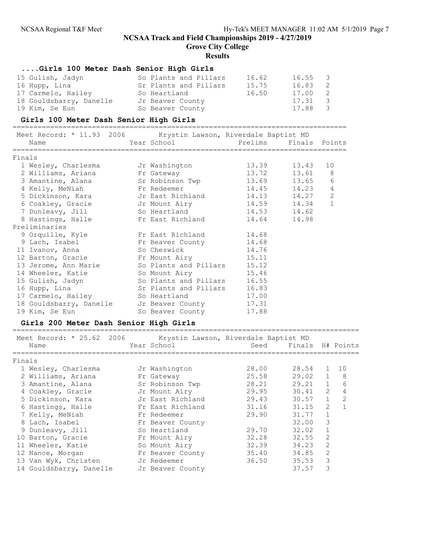Grove City College

### Results

### ....Girls 100 Meter Dash Senior High Girls

| 15 Gulish, Jadyn        | So Plants and Pillars | 16.62 | 16.55 3 |                |
|-------------------------|-----------------------|-------|---------|----------------|
| 16 Hupp, Lina           | Sr Plants and Pillars | 15.75 | 16.83   | $\overline{2}$ |
| 17 Carmelo, Hailey      | So Heartland          | 16.50 | 17.00 2 |                |
| 18 Gouldsbarry, Danelle | Jr Beaver County      |       | 17.31 3 |                |
| 19 Kim, Se Eun          | So Beaver County      |       | 17.88   | $\overline{3}$ |

### Girls 100 Meter Dash Senior High Girls

================================================================================ Meet Record: \* 11.93 2006 Krystin Lawson, Riverdale Baptist MD

|        | Meet Record: ^ II.93 ZUU6 - Krystin Lawson, Kiverdale Baptist MD |                                          |               |       |                 |
|--------|------------------------------------------------------------------|------------------------------------------|---------------|-------|-----------------|
|        | Name                                                             | Year School Nearly Prelims Finals Points |               |       |                 |
| Finals |                                                                  |                                          |               |       |                 |
|        | 1 Wesley, Charlesma Jr Washington                                |                                          | 13.39 13.43   |       | 10              |
|        | 2 Williams, Ariana                                               | Fr Gateway                               | 13.72 13.61 8 |       |                 |
|        | 3 Amantine, Alana (Sr Robinson Twp (13.69 13.65)                 |                                          |               |       | $6\phantom{1}6$ |
|        | 4 Kelly, MeNiah                                                  | Fr Redeemer                              | 14.45         | 14.23 | $\sqrt{4}$      |
|        | 5 Dickinson, Kara           Jr East Richland                     |                                          | 14.13 14.27   |       | $\overline{c}$  |
|        | 6 Coakley, Gracie by Jr Mount Airy                               |                                          | 14.59 14.34   |       | $\mathbf{1}$    |
|        | 7 Dunleavy, Jill                                                 | So Heartland                             | 14.53 14.62   |       |                 |
|        | 8 Hastings, Halle Tr East Richland                               |                                          | 14.64 14.98   |       |                 |
|        | Preliminaries                                                    |                                          |               |       |                 |
|        | 9 Orquille, Kyle             Fr East Richland                    |                                          | 14.68         |       |                 |
|        | 9 Lach, Isabel No Fr Beaver County                               |                                          | 14.68         |       |                 |
|        | 11 Ivanov, Anna                                                  | So Cheswick <b>South</b>                 | 14.76         |       |                 |
|        | 12 Barton, Gracie barr Fr Mount Airy                             |                                          | 15.11         |       |                 |
|        | 13 Jerome, Ann Marie                                             | So Plants and Pillars 15.12              |               |       |                 |
|        | 14 Wheeler, Katie                                                | So Mount Airy                            | 15.46         |       |                 |
|        | 15 Gulish, Jadyn                                                 | So Plants and Pillars                    | 16.55         |       |                 |
|        | 16 Hupp, Lina                                                    | Sr Plants and Pillars                    | 16.83         |       |                 |
|        | 17 Carmelo, Hailey                                               | So Heartland Soldiers                    | 17.00         |       |                 |
|        | 18 Gouldsbarry, Danelle Jr Beaver County                         |                                          | 17.31         |       |                 |
|        | 19 Kim, Se Eun                                                   | So Beaver County                         | 17.88         |       |                 |
|        |                                                                  |                                          |               |       |                 |

#### Girls 200 Meter Dash Senior High Girls ===================================================================================

| Meet Record: * 25.62 2006 |  | Krystin Lawson, Riverdale Baptist MD |       |                       |              |              |
|---------------------------|--|--------------------------------------|-------|-----------------------|--------------|--------------|
| Name                      |  | Year School                          |       | Seed Finals H# Points |              |              |
| Finals                    |  |                                      |       |                       |              |              |
| 1 Wesley, Charlesma       |  | Jr Washington                        | 28.00 | 28.54                 | 1            | 10           |
| 2 Williams, Ariana        |  | Fr Gateway                           | 25.58 | $29.02 \quad 1$       |              | 8            |
| 3 Amantine, Alana         |  | Sr Robinson Twp                      | 28.21 | $29.21$ 1             |              | 6            |
| 4 Coakley, Gracie         |  | Jr Mount Airy                        | 29.95 | 30.41                 | 2            | 4            |
| 5 Dickinson, Kara         |  | Jr East Richland                     | 29.43 | 30.57                 | $\mathbf{1}$ | 2            |
| 6 Hastings, Halle         |  | Fr East Richland                     | 31.16 | 31.15                 | 2            | $\mathbf{1}$ |
| 7 Kelly, MeNiah           |  | Fr Redeemer                          | 29.90 | 31.77                 | $\mathbf{1}$ |              |
| 8 Lach, Isabel            |  | Fr Beaver County                     |       | 32.00                 | 3            |              |
| 9 Dunleavy, Jill          |  | So Heartland                         | 29.70 | 32.02                 | $\mathbf{1}$ |              |
| 10 Barton, Gracie         |  | Fr Mount Airy                        | 32.28 | 32.55                 | 2            |              |
| 11 Wheeler, Katie         |  | So Mount Airy                        | 32.39 | 34.23                 | 2            |              |
| 12 Nance, Morgan          |  | Fr Beaver County                     | 35.40 | 34.85                 | 2            |              |
| 13 Van Wyk, Christen      |  | Jr Redeemer                          | 36.50 | 35.53                 | 3            |              |
| 14 Gouldsbarry, Danelle   |  | Jr Beaver County                     |       | 37.57                 | 3            |              |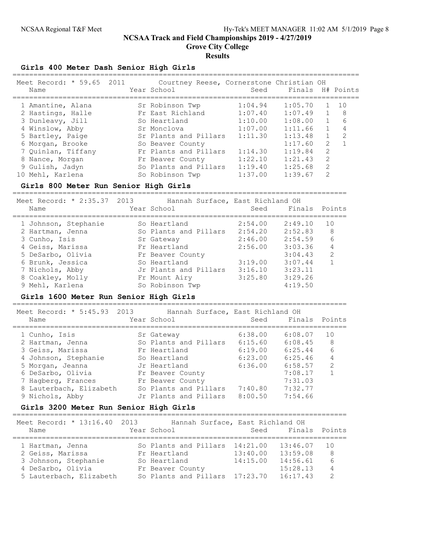Grove City College

### **Results**

Girls 400 Meter Dash Senior High Girls

| Name | Meet Record: * 59.65 2011 | Courtney Reese, Cornerstone Christian OH<br>Year School | Seed    | Finals H# Points |                                                                                                                                                                 |     |
|------|---------------------------|---------------------------------------------------------|---------|------------------|-----------------------------------------------------------------------------------------------------------------------------------------------------------------|-----|
|      | 1 Amantine, Alana         | Sr Robinson Twp                                         | 1:04.94 | 1:05.70          |                                                                                                                                                                 | 1 O |
|      | 2 Hastings, Halle         | Fr East Richland                                        | 1:07.40 | 1:07.49          | $\overline{1}$                                                                                                                                                  | 8   |
|      | 3 Dunleavy, Jill          | So Heartland                                            | 1:10.00 | 1:08.00          | $\mathbf{1}$                                                                                                                                                    | 6   |
|      | 4 Winslow, Abby           | Sr Monclova                                             | 1:07.00 | 1:11.66          | $\mathbf{1}$                                                                                                                                                    |     |
|      | 5 Bartley, Paige          | Sr Plants and Pillars                                   | 1:11.30 | 1:13.48          | $\mathbf{1}$                                                                                                                                                    | 2   |
|      | 6 Morgan, Brooke          | So Beaver County                                        |         | 1:17.60          | $\mathcal{L}$                                                                                                                                                   |     |
|      | 7 Quinlan, Tiffany        | Fr Plants and Pillars                                   | 1:14.30 | 1:19.84          | 2                                                                                                                                                               |     |
|      | 8 Nance, Morgan           | Fr Beaver County                                        | 1:22.10 | 1:21.43          | 2                                                                                                                                                               |     |
|      | 9 Gulish, Jadyn           | So Plants and Pillars                                   | 1:19.40 | 1:25.68          | $\mathcal{L}$                                                                                                                                                   |     |
|      | 10 Mehl, Karlena          | So Robinson Twp                                         | 1:37.00 | 1:39.67          | $\mathcal{D}_{\mathcal{L}}^{\mathcal{L}}(\mathcal{L})=\mathcal{D}_{\mathcal{L}}^{\mathcal{L}}(\mathcal{L})\mathcal{D}_{\mathcal{L}}^{\mathcal{L}}(\mathcal{L})$ |     |

#### Girls 800 Meter Run Senior High Girls

================================================================================ Meet Record: \* 2:35.37 2013 Hannah Surface, East Richland OH Name The Year School Seed Finals Points ================================================================================ 1 Johnson, Stephanie So Heartland 2:54.00 2:49.10 10 2 Hartman, Jenna So Plants and Pillars 2:54.20 2:52.83 8 3 Cunho, Isis Sr Gateway 2:46.00 2:54.59 6 4 Geiss, Marissa Fr Heartland 2:56.00 3:03.36 4 5 DeSarbo, Olivia Fr Beaver County 3:04.43 2 6 Brunk, Jessica So Heartland 3:19.00 3:07.44 1 7 Nichols, Abby Jr Plants and Pillars 3:16.10 3:23.11 8 Coakley, Molly Fr Mount Airy 3:25.80 3:29.26 9 Mehl, Karlena So Robinson Twp 4:19.50

#### Girls 1600 Meter Run Senior High Girls

================================================================================

|                                                        | Seed                                                                                                                                                                                         | Finals Points |                                  |
|--------------------------------------------------------|----------------------------------------------------------------------------------------------------------------------------------------------------------------------------------------------|---------------|----------------------------------|
|                                                        | 6:38.00                                                                                                                                                                                      | 6:08.07       | 10                               |
|                                                        | 6:15.60                                                                                                                                                                                      | 6:08.45       | 8                                |
|                                                        | 6:19.00                                                                                                                                                                                      | 6:25.44       | 6                                |
|                                                        | 6:23.00                                                                                                                                                                                      | 6:25.46       | 4                                |
|                                                        | 6:36.00                                                                                                                                                                                      | 6:58.57       | $\mathcal{L}$                    |
|                                                        |                                                                                                                                                                                              | 7:08.17       |                                  |
|                                                        |                                                                                                                                                                                              | 7:31.03       |                                  |
|                                                        | 7:40.80                                                                                                                                                                                      | 7:32.77       |                                  |
|                                                        | 8:00.50                                                                                                                                                                                      | 7:54.66       |                                  |
| Meet Record: * 5:45.93 2013<br>8 Lauterbach, Elizabeth | Year School<br>Sr Gateway<br>So Plants and Pillars<br>Fr Heartland<br>So Heartland<br>Jr Heartland<br>Fr Beaver County<br>Fr Beaver County<br>So Plants and Pillars<br>Jr Plants and Pillars |               | Hannah Surface, East Richland OH |

#### Girls 3200 Meter Run Senior High Girls

================================================================================

| Finals Points |
|---------------|
|               |
| 1 O           |
| 8             |
| 6             |
| 4             |
| $\mathcal{P}$ |
|               |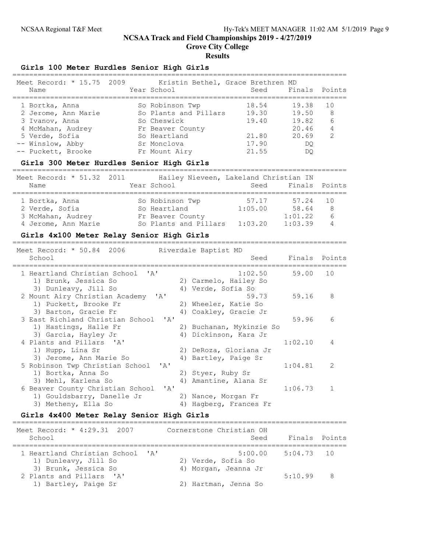Grove City College

#### **Results**

#### Girls 100 Meter Hurdles Senior High Girls

| Meet Record: * 15.75 2009<br>Name | Kristin Bethel, Grace Brethren MD<br>Year School | Seed Finals Points |       |               |
|-----------------------------------|--------------------------------------------------|--------------------|-------|---------------|
| 1 Bortka, Anna                    | So Robinson Twp                                  | 18.54              | 19.38 | 1 O           |
| 2 Jerome, Ann Marie               | So Plants and Pillars                            | 19.30              | 19.50 | 8             |
| 3 Ivanov, Anna                    | So Cheswick                                      | 19.40              | 19.82 | 6             |
| 4 McMahan, Audrey                 | Fr Beaver County                                 |                    | 20.46 | 4             |
| 5 Verde, Sofia                    | So Heartland                                     | 21.80              | 20.69 | $\mathcal{L}$ |
| -- Winslow, Abby                  | Sr Monclova                                      | 17.90              | DO    |               |
| -- Puckett, Brooke                | Fr Mount Airy                                    | 21.55              | DΟ    |               |

#### Girls 300 Meter Hurdles Senior High Girls

================================================================================ Meet Record: \* 51.32 2011 Hailey Nieveen, Lakeland Christian IN Name The Year School Seed Finals Points ================================================================================ 1 Bortka, Anna So Robinson Twp 57.17 57.24 10 2 Verde, Sofia So Heartland 1:05.00 58.64 8 3 McMahan, Audrey Fr Beaver County 1:01.22 6 4 Jerome, Ann Marie So Plants and Pillars 1:03.20 1:03.39 4

### Girls 4x100 Meter Relay Senior High Girls

| Meet Record: * 50.84 2006<br>Riverdale Baptist MD<br>School<br>Seed                                                                                                             |               | Finals Points |  |  |  |  |  |  |
|---------------------------------------------------------------------------------------------------------------------------------------------------------------------------------|---------------|---------------|--|--|--|--|--|--|
| 1 Heartland Christian School 'A'<br>1:02.50<br>1) Brunk, Jessica So<br>2) Carmelo, Hailey So                                                                                    | 59.00         | 10            |  |  |  |  |  |  |
| 4) Verde, Sofia So<br>3) Dunleavy, Jill So<br>2 Mount Airy Christian Academy 'A'<br>59.73<br>1) Puckett, Brooke Fr<br>2) Wheeler, Katie So                                      | 59.16         | 8             |  |  |  |  |  |  |
| 3) Barton, Gracie Fr<br>4) Coakley, Gracie Jr<br>3 East Richland Christian School 'A'<br>1) Hastings, Halle Fr<br>2) Buchanan, Mykinzie So                                      | 59.96         | 6             |  |  |  |  |  |  |
| 3) Garcia, Hayley Jr<br>Dickinson, Kara Jr<br>4)<br>4 Plants and Pillars 'A'<br>1) Hupp, Lina Sr<br>2) DeRoza, Gloriana Jr                                                      | 1:02.10       | 4             |  |  |  |  |  |  |
| 3) Jerome, Ann Marie So<br>4) Bartley, Paige Sr<br>5 Robinson Twp Christian School<br>$\mathsf{r}$ $\mathsf{a}$ $\mathsf{r}$<br>1) Bortka, Anna So<br>2) Styer, Ruby Sr         | 1:04.81       | 2             |  |  |  |  |  |  |
| 3) Mehl, Karlena So<br>4) Amantine, Alana Sr<br>6 Beaver County Christian School<br>' A'<br>1) Gouldsbarry, Danelle Jr<br>2) Nance, Morgan Fr                                   | 1:06.73       | 1             |  |  |  |  |  |  |
| 3) Metheny, Ella So<br>4) Hagberg, Frances Fr<br>Girls 4x400 Meter Relay Senior High Girls                                                                                      |               |               |  |  |  |  |  |  |
| Meet Record: * 4:29.31 2007<br>Cornerstone Christian OH<br>School<br>Seed                                                                                                       | Finals Points |               |  |  |  |  |  |  |
| 5:00.00<br>1 Heartland Christian School<br>$\mathsf{r}$ $\mathsf{a}$ $\mathsf{r}$<br>1) Dunleavy, Jill So<br>2) Verde, Sofia So<br>3) Brunk, Jessica So<br>4) Morgan, Jeanna Jr | 5:04.73       | 10            |  |  |  |  |  |  |

2 Plants and Pillars 'A' 5:10.99 8

1) Bartley, Paige Sr (2) Hartman, Jenna So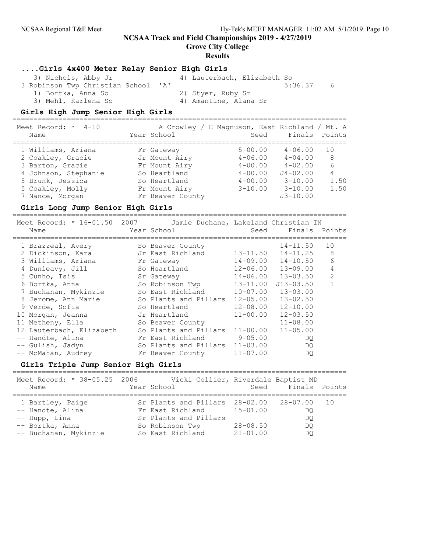Grove City College

#### Results

### ....Girls 4x400 Meter Relay Senior High Girls

| 3) Nichols, Abby Jr                 | 4) Lauterbach, Elizabeth So |    |
|-------------------------------------|-----------------------------|----|
| 3 Robinson Twp Christian School 'A' | 5:36.37                     | -6 |
| 1) Bortka, Anna So                  | 2) Styer, Ruby Sr           |    |
| 3) Mehl, Karlena So                 | 4) Amantine, Alana Sr       |    |

#### Girls High Jump Senior High Girls

| Meet Record: $*$ 4-10<br>Name                                                                                                                  | Year School                                                                                                       | A Crowley / E Magnuson, East Richland / Mt. A<br>Seed                                  | Finals Points                                                                                           |                                   |
|------------------------------------------------------------------------------------------------------------------------------------------------|-------------------------------------------------------------------------------------------------------------------|----------------------------------------------------------------------------------------|---------------------------------------------------------------------------------------------------------|-----------------------------------|
| 1 Williams, Ariana<br>2 Coakley, Gracie<br>3 Barton, Gracie<br>4 Johnson, Stephanie<br>5 Brunk, Jessica<br>5 Coakley, Molly<br>7 Nance, Morgan | Fr Gateway<br>Jr Mount Airy<br>Fr Mount Airy<br>So Heartland<br>So Heartland<br>Fr Mount Airy<br>Fr Beaver County | $5 - 00.00$<br>$4 - 06.00$<br>$4 - 00.00$<br>$4 - 00.00$<br>$4 - 00.00$<br>$3 - 10.00$ | $4 - 06.00$<br>$4 - 04.00$<br>$4 - 02.00$<br>$J4 - 02.00$<br>$3 - 10.00$<br>$3 - 10.00$<br>$J3 - 10.00$ | 10<br>8<br>6<br>4<br>1.50<br>1.50 |

#### Girls Long Jump Senior High Girls

================================================================================ Meet Record: \* 16-01.50 2007 Jamie Duchane, Lakeland Christian IN Name Year School Seed Finals Points ================================================================================ 1 Brazzeal, Avery So Beaver County 14-11.50 10 2 Dickinson, Kara Jr East Richland 13-11.50 14-11.25 8 3 Williams, Ariana Fr Gateway 14-09.00 14-10.50 6 4 Dunleavy, Jill So Heartland 12-06.00 13-09.00 4 5 Cunho, Isis Sr Gateway 14-06.00 13-03.50 2 6 Bortka, Anna So Robinson Twp 13-11.00 J13-03.50 1 7 Buchanan, Mykinzie So East Richland 10-07.00 13-03.00 8 Jerome, Ann Marie So Plants and Pillars 12-05.00 13-02.50 9 Verde, Sofia So Heartland 12-08.00 12-10.00 10 Morgan, Jeanna Jr Heartland 11-00.00 12-03.50 11 Metheny, Ella So Beaver County 11-08.00 12 Lauterbach, Elizabeth So Plants and Pillars 11-00.00 11-05.00 -- Handte, Alina Fr East Richland 9-05.00 DQ -- Gulish, Jadyn So Plants and Pillars 11-03.00 DQ -- McMahan, Audrey Fr Beaver County 11-07.00 DQ

### Girls Triple Jump Senior High Girls

| Meet Record: * 38-05.25 2006<br>Name                                                              | Vicki Collier, Riverdale Baptist MD<br>Year School                                                                             |                                              | Seed Finals Points    |  |
|---------------------------------------------------------------------------------------------------|--------------------------------------------------------------------------------------------------------------------------------|----------------------------------------------|-----------------------|--|
| 1 Bartley, Paige<br>-- Handte, Alina<br>-- Hupp, Lina<br>-- Bortka, Anna<br>-- Buchanan, Mykinzie | Sr Plants and Pillars 28-02.00 28-07.00 10<br>Fr East Richland<br>Sr Plants and Pillars<br>So Robinson Twp<br>So East Richland | $15 - 01.00$<br>$28 - 08.50$<br>$21 - 01.00$ | DO<br>DO<br>DO.<br>DO |  |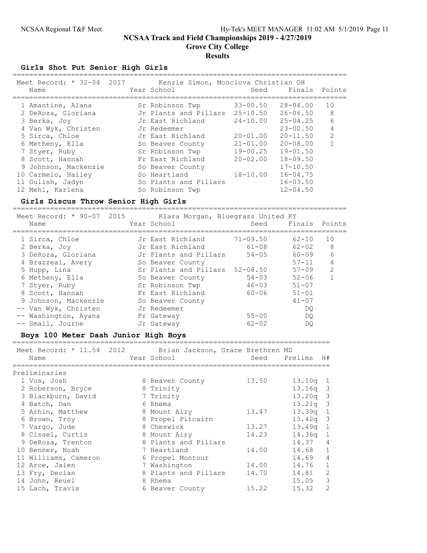## Girls Shot Put Senior High Girls

| Meet Record: * 32-04 2017<br>Name | Kenzie Simon, Monclova Christian OH<br>Year School | Seed         | Finals       | Points         |
|-----------------------------------|----------------------------------------------------|--------------|--------------|----------------|
| 1 Amantine, Alana                 | Sr Robinson Twp                                    | $33 - 00.50$ | $28 - 04.00$ | 10             |
| 2 DeRoza, Gloriana                | Jr Plants and Pillars                              | $25 - 10.50$ | $26 - 06.50$ | 8              |
| 3 Berka, Joy                      | Jr East Richland                                   | $24 - 10.00$ | $25 - 04.25$ | 6              |
| 4 Van Wyk, Christen               | Jr Redeemer                                        |              | $23 - 00.50$ | 4              |
| 5 Sirca, Chloe                    | Jr East Richland                                   | $20 - 01.00$ | $20 - 11.50$ | $\mathfrak{D}$ |
| 6 Metheny, Ella                   | So Beaver County                                   | $21 - 01.00$ | $20 - 08.00$ |                |
| 7 Styer, Ruby                     | Sr Robinson Twp                                    | $19 - 00.25$ | $19 - 01.50$ |                |
| 8 Scott, Hannah                   | Fr East Richland                                   | $20 - 02.00$ | $18 - 09.50$ |                |
| 9 Johnson, Mackenzie              | So Beaver County                                   |              | $17 - 10.50$ |                |
| 10 Carmelo, Hailey                | So Heartland                                       | $18 - 10.00$ | $16 - 04.75$ |                |
| 11 Gulish, Jadyn                  | So Plants and Pillars                              |              | $16 - 03.50$ |                |
| 12 Mehl, Karlena                  | So Robinson Twp                                    |              | $12 - 04.50$ |                |

### Girls Discus Throw Senior High Girls

================================================================================

| Meet Record: * 90-07 2015<br>Name | Klara Morgan, Bluegrass United KY<br>Year School | Seed         | Finals Points |                |
|-----------------------------------|--------------------------------------------------|--------------|---------------|----------------|
| 1 Sirca, Chloe                    | Jr East Richland                                 | $71 - 09.50$ | $62 - 10$     | 10             |
| 2 Berka, Joy                      | Jr East Richland                                 | $61 - 08$    | $62 - 02$     | 8              |
| 3 DeRoza, Gloriana                | Jr Plants and Pillars                            | $54 - 05$    | 60-09         | 6              |
| 4 Brazzeal, Avery                 | So Beaver County                                 |              | $57 - 11$     | 4              |
| 5 Hupp, Lina                      | Sr Plants and Pillars 52-08.50                   |              | $57 - 09$     | $\overline{2}$ |
| 6 Metheny, Ella                   | So Beaver County                                 | $54 - 03$    | $52 - 06$     |                |
| 7 Styer, Ruby                     | Sr Robinson Twp                                  | $46 - 03$    | $51 - 07$     |                |
| 8 Scott, Hannah                   | Fr East Richland                                 | $60 - 06$    | $51 - 01$     |                |
| 9 Johnson, Mackenzie              | So Beaver County                                 |              | $41 - 07$     |                |
| -- Van Wyk, Christen              | Jr Redeemer                                      |              | DO            |                |
| -- Washington, Ayana              | Fr Gateway                                       | $55 - 00$    | DO            |                |
| -- Small, Journe                  | Jr Gateway                                       | $62 - 02$    | DO            |                |

### Boys 100 Meter Dash Junior High Boys

| Meet Record: * 11.54 2012 Brian Jackson, Grace Brethren MD<br>Name | Year School          |       | Seed Prelims H# |                |
|--------------------------------------------------------------------|----------------------|-------|-----------------|----------------|
| Preliminaries                                                      |                      |       |                 |                |
| 1 Vos, Josh                                                        | 8 Beaver County      | 13.50 | 13.10q          | 1              |
| 2 Roberson, Bryce                                                  | 8 Trinity            |       | $13.16q$ 3      |                |
| 3 Blackburn, David                                                 | 7 Trinity            |       | $13.20q$ 3      |                |
| 4 Batch, Dan                                                       | 6 Rhema              |       | $13.21q$ 3      |                |
| 5 Arhin, Matthew                                                   | 8 Mount Airy         | 13.47 | 13.39q 1        |                |
| 6 Brown, Troy                                                      | 8 Propel Pitcairn    |       | $13.42q$ 3      |                |
| 7 Vargo, Jude                                                      | 8 Cheswick           | 13.27 | $13.49q$ 1      |                |
| 8 Cissel, Curtis                                                   | 8 Mount Airy         | 14.23 | $14.36q$ 1      |                |
| 9 DeRoza, Trenton                                                  | 8 Plants and Pillars |       | 14.37           | $\overline{4}$ |
| 10 Benner, Noah                                                    | 7 Heartland          | 14.00 | 14.68 1         |                |
| 11 Williams, Cameron                                               | 6 Propel Montour     |       | 14.69           | $\overline{4}$ |
| 12 Arce, Jalen                                                     | 7 Washington         | 14.00 | 14.76 1         |                |
| 13 Fry, Declan                                                     | 8 Plants and Pillars | 14.70 | 14.81           | 2              |
| 14 John, Reuel                                                     | 8 Rhema              |       | $15.05$ 3       |                |
| 15 Lach, Travis                                                    | 6 Beaver County      | 15.22 | 15.32           | 2              |
|                                                                    |                      |       |                 |                |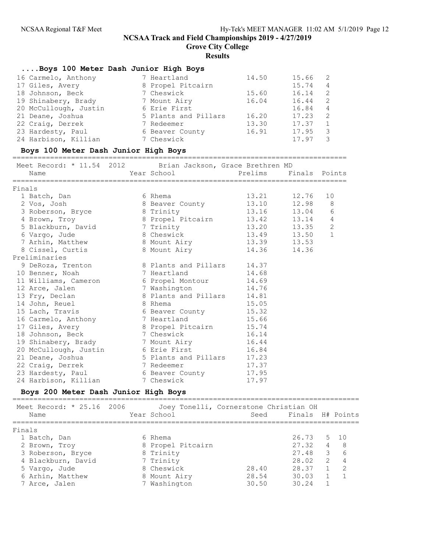Grove City College

#### Results

### ....Boys 100 Meter Dash Junior High Boys

| 16 Carmelo, Anthony   | 7 Heartland          | 14.50 | 15.66 | -2             |
|-----------------------|----------------------|-------|-------|----------------|
| 17 Giles, Avery       | 8 Propel Pitcairn    |       | 15.74 | 4              |
| 18 Johnson, Beck      | 7 Cheswick           | 15.60 | 16.14 | 2              |
| 19 Shinabery, Brady   | 7 Mount Airy         | 16.04 | 16.44 | -2             |
| 20 McCullough, Justin | 6 Erie First         |       | 16.84 | $\overline{4}$ |
| 21 Deane, Joshua      | 5 Plants and Pillars | 16.20 | 17.23 | 2              |
| 22 Craig, Derrek      | 7 Redeemer           | 13.30 | 17.37 |                |
| 23 Hardesty, Paul     | 6 Beaver County      | 16.91 | 17.95 | 3              |
| 24 Harbison, Killian  | 7 Cheswick           |       | 17.97 |                |

#### Boys 100 Meter Dash Junior High Boys

================================================================================ Meet Record: \* 11.54 2012 Brian Jackson, Grace Brethren MD Name The Year School Prelims Finals Points ================================================================================ Finals 1 Batch, Dan 6 Rhema 13.21 12.76 10 2 Vos, Josh 8 Beaver County 13.10 12.98 8 3 Roberson, Bryce 8 Trinity 13.16 13.04 6 4 Brown, Troy 8 Propel Pitcairn 13.42 13.14 4 5 Blackburn, David 7 Trinity 13.20 13.35 2 6 Vargo, Jude 8 Cheswick 13.49 13.50 1 7 Arhin, Matthew 8 Mount Airy 13.39 13.53 8 Cissel, Curtis 8 Mount Airy 14.36 14.36 Preliminaries 9 DeRoza, Trenton 8 Plants and Pillars 14.37 10 Benner, Noah 14.68 11 Williams, Cameron 6 Propel Montour 14.69 12 Arce, Jalen 7 Washington 14.76 13 Fry, Declan 8 Plants and Pillars 14.81 14 John, Reuel 8 Rhema 15.05 15 Lach, Travis 6 Beaver County 15.32 16 Carmelo, Anthony 7 Heartland 15.66 17 Giles, Avery 8 Propel Pitcairn 15.74 18 Johnson, Beck 7 Cheswick 16.14 19 Shinabery, Brady 7 Mount Airy 16.44 20 McCullough, Justin 6 Erie First 16.84 21 Deane, Joshua 6 5 Plants and Pillars 17.23 22 Craig, Derrek 7 Redeemer 17.37 23 Hardesty, Paul 6 Beaver County 17.95 24 Harbison, Killian 7 Cheswick 17.97

### Boys 200 Meter Dash Junior High Boys

| Meet Record: * 25.16 2006<br>Name | Year School       | Joey Tonelli, Cornerstone Christian OH | Seed Finals H# Points |                         |                          |
|-----------------------------------|-------------------|----------------------------------------|-----------------------|-------------------------|--------------------------|
| Finals                            |                   |                                        |                       |                         |                          |
| 1 Batch, Dan                      | 6 Rhema           |                                        | 26.73 5 10            |                         |                          |
| 2 Brown, Troy                     | 8 Propel Pitcairn |                                        | 27.32                 | $\overline{4}$          | $\overline{\phantom{a}}$ |
| 3 Roberson, Bryce                 | 8 Trinity         |                                        | 27.48                 | $\overline{\mathbf{3}}$ | $6\overline{6}$          |
| 4 Blackburn, David                | 7 Trinity         |                                        | 28.02                 | $\overline{2}$          | $\overline{4}$           |
| 5 Vargo, Jude                     | 8 Cheswick        | 28.40                                  | 28.37                 | $\overline{1}$          | 2                        |
| 6 Arhin, Matthew                  | 8 Mount Airy      | 28.54                                  | 30.03                 | $\overline{1}$          |                          |
| 7 Arce, Jalen                     | 7 Washington      | 30.50                                  | 30 24                 |                         |                          |
|                                   |                   |                                        |                       |                         |                          |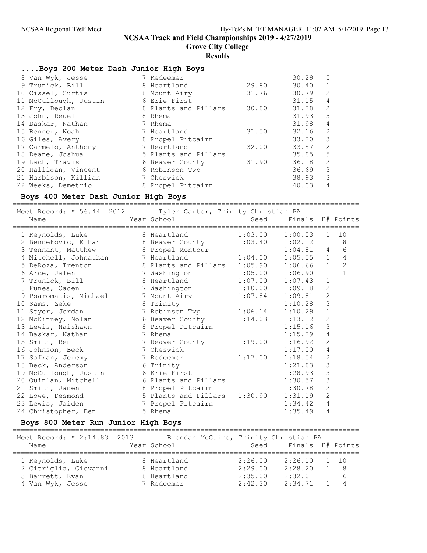Grove City College

### Results

## ....Boys 200 Meter Dash Junior High Boys

| 8 Van Wyk, Jesse      | 7 Redeemer           |       | 30.29     | 5                          |
|-----------------------|----------------------|-------|-----------|----------------------------|
| 9 Trunick, Bill       | 8 Heartland          | 29.80 | 30.40     | $\overline{1}$             |
| 10 Cissel, Curtis     | 8 Mount Airy         | 31.76 | 30.79     | 2                          |
| 11 McCullough, Justin | 6 Erie First         |       | 31.15     | $\overline{4}$             |
| 12 Fry, Declan        | 8 Plants and Pillars | 30.80 | 31.28     | 2                          |
| 13 John, Reuel        | 8 Rhema              |       | 31.93     | $5^{\circ}$                |
| 14 Baskar, Nathan     | 7 Rhema              |       | 31.98     | 4                          |
| 15 Benner, Noah       | 7 Heartland          | 31.50 | 32.16     | $\overline{\phantom{0}}^2$ |
| 16 Giles, Avery       | 8 Propel Pitcairn    |       | 33.20     | $\overline{\mathbf{3}}$    |
| 17 Carmelo, Anthony   | 7 Heartland          | 32.00 | 33.57     | 2                          |
| 18 Deane, Joshua      | 5 Plants and Pillars |       | $35.85$ 5 |                            |
| 19 Lach, Travis       | 6 Beaver County      | 31.90 | 36.18     | 2                          |
| 20 Halligan, Vincent  | 6 Robinson Twp       |       | 36.69     | 3                          |
| 21 Harbison, Killian  | 7 Cheswick           |       | 38.93     | 3                          |
| 22 Weeks, Demetrio    | 8 Propel Pitcairn    |       | 40.03     | 4                          |
|                       |                      |       |           |                            |

### Boys 400 Meter Dash Junior High Boys

===================================================================================

| Meet Record: * 56.44 2012 Tyler Carter, Trinity Christian PA                           |                         |         |                       |                |                |
|----------------------------------------------------------------------------------------|-------------------------|---------|-----------------------|----------------|----------------|
| Name                                                                                   | Year School             |         | Seed Finals H# Points |                |                |
| ===============================<br>1 Reynolds, Luke 8 Heartland 1:03.00 1:00.53 1      |                         |         |                       |                | 10             |
| 2 Bendekovic, Ethan 8 Beaver County                                                    |                         | 1:03.40 | 1:02.12 1             |                | 8 <sup>8</sup> |
| 3 Tennant, Matthew 8 Propel Montour                                                    |                         |         | $1:04.81$ 4           |                | 6              |
| 4 Mitchell, Johnathan 7 Heartland 1:04.00                                              |                         |         | $1:05.55$ 1           |                | $\overline{4}$ |
|                                                                                        |                         |         | $1:06.66$ 1           |                | $\overline{c}$ |
| 5 DeRoza, Trenton 8 Plants and Pillars 1:05.90<br>6 Arce, Jalen 8 7 Washington 1:05.00 |                         | 1:05.00 | 1:06.90               | $\mathbf{1}$   | $\mathbf{1}$   |
| 7 Trunick, Bill 8 Heartland                                                            |                         | 1:07.00 | 1:07.43               | $\mathbf 1$    |                |
| 8 Funes, Caden 1:10.00                                                                 |                         |         | 1:09.18               | $\sqrt{2}$     |                |
| 9 Psaromatis, Michael 3 7 Mount Airy                                                   |                         | 1:07.84 | 1:09.81               | $\mathbf{2}$   |                |
| 10 Sams, Zeke                                                                          | 8 Trinity               |         | 1:10.28               | 3              |                |
| 11 Styer, Jordan 7 Robinson Twp 1:06.14                                                |                         |         | 1:10.29               | $\mathbf 1$    |                |
| 12 McKinney, Nolan 6 Beaver County                                                     |                         | 1:14.03 | 1:13.12               | $\overline{2}$ |                |
| 13 Lewis, Naishawn 8 Propel Pitcairn                                                   |                         |         | 1:15.16               | 3              |                |
| 14 Baskar, Nathan 7 Rhema                                                              |                         |         | 1:15.29               | $\sqrt{4}$     |                |
| 15 Smith, Ben                                                                          | 7 Beaver County 1:19.00 |         | 1:16.92               | $\overline{2}$ |                |
| 16 Johnson, Beck 7 Cheswick                                                            |                         |         | 1:17.00               | $\overline{4}$ |                |
| 17 Safran, Jeremy                                                                      | 7 Redeemer              | 1:17.00 | 1:18.54               | $\mathbf 2$    |                |
| 18 Beck, Anderson 6 Trinity                                                            |                         |         | 1:21.83               | 3              |                |
| 19 McCullough, Justin 6 Erie First                                                     |                         |         | 1:28.93               | $\mathsf 3$    |                |
| 20 Quinlan, Mitchell 6 Plants and Pillars                                              |                         |         | 1:30.57               | 3              |                |
| 21 Smith, Jaden 8 Propel Pitcairn                                                      |                         |         | 1:30.78               | $\overline{2}$ |                |
| 22 Lowe, Desmond 5 Plants and Pillars                                                  |                         | 1:30.90 | 1:31.19               | $\overline{c}$ |                |
| 23 Lewis, Jaiden 1 7 Propel Pitcairn                                                   |                         |         | 1:34.42               | $\overline{4}$ |                |
| 24 Christopher, Ben                                                                    | 5 Rhema                 |         | 1:35.49               | $\overline{4}$ |                |

### Boys 800 Meter Run Junior High Boys

| Meet Record: * 2:14.83 2013<br>Name | Brendan McGuire, Trinity Christian PA<br>Year School | Seed    | Finals H# Points |                |
|-------------------------------------|------------------------------------------------------|---------|------------------|----------------|
| 1 Reynolds, Luke                    | 8 Heartland                                          | 2:26.00 | 2:26.10          | $1 \quad 10$   |
| 2 Citriglia, Giovanni               | 8 Heartland                                          | 2:29.00 | 2:28.20          | - 8            |
| 3 Barrett, Evan                     | 8 Heartland                                          | 2:35.00 | 2:32.01          | - 6            |
| 4 Van Wyk, Jesse                    | 7 Redeemer                                           | 2:42.30 | 2:34.71          | $\overline{4}$ |

===================================================================================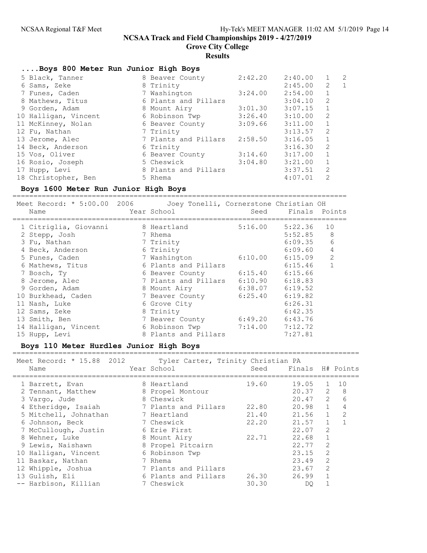Grove City College

#### Results

### ....Boys 800 Meter Run Junior High Boys

| 5 Black, Tanner      | 8 Beaver County      | 2:42.20 | 2:40.00 | $\mathbf{1}$   | 2              |
|----------------------|----------------------|---------|---------|----------------|----------------|
| 6 Sams, Zeke         | 8 Trinity            |         | 2:45.00 | 2              | $\overline{1}$ |
| 7 Funes, Caden       | 7 Washington         | 3:24.00 | 2:54.00 | 1              |                |
| 8 Mathews, Titus     | 6 Plants and Pillars |         | 3:04.10 | 2              |                |
| 9 Gorden, Adam       | 8 Mount Airy         | 3:01.30 | 3:07.15 | $\mathbf{1}$   |                |
| 10 Halligan, Vincent | 6 Robinson Twp       | 3:26.40 | 3:10.00 | 2              |                |
| 11 McKinney, Nolan   | 6 Beaver County      | 3:09.66 | 3:11.00 | $\mathbf{1}$   |                |
| 12 Fu, Nathan        | 7 Trinity            |         | 3:13.57 | 2              |                |
| 13 Jerome, Alec      | 7 Plants and Pillars | 2:58.50 | 3:16.05 | $\mathbf{1}$   |                |
| 14 Beck, Anderson    | 6 Trinity            |         | 3:16.30 | 2              |                |
| 15 Vos, Oliver       | 6 Beaver County      | 3:14.60 | 3:17.00 | $\mathbf{1}$   |                |
| 16 Rosio, Joseph     | 5 Cheswick           | 3:04.80 | 3:21.00 | $\mathbf{1}$   |                |
| 17 Hupp, Levi        | 8 Plants and Pillars |         | 3:37.51 | $\overline{2}$ |                |
| 18 Christopher, Ben  | 5 Rhema              |         | 4:07.01 | 2              |                |

### Boys 1600 Meter Run Junior High Boys

================================================================================

| Meet Record: * 5:00.00 2006 | Joey Tonelli, Cornerstone Christian OH |  |  |  |
|-----------------------------|----------------------------------------|--|--|--|
|-----------------------------|----------------------------------------|--|--|--|

|  | Seed                                                                                                                                                                                                                                                                            | Finals  | Points             |
|--|---------------------------------------------------------------------------------------------------------------------------------------------------------------------------------------------------------------------------------------------------------------------------------|---------|--------------------|
|  | 5:16.00                                                                                                                                                                                                                                                                         | 5:22.36 | 10                 |
|  |                                                                                                                                                                                                                                                                                 | 5:52.85 | 8                  |
|  |                                                                                                                                                                                                                                                                                 | 6:09.35 | 6                  |
|  |                                                                                                                                                                                                                                                                                 | 6:09.60 | 4                  |
|  | 6:10.00                                                                                                                                                                                                                                                                         | 6:15.09 | $\overline{2}$     |
|  |                                                                                                                                                                                                                                                                                 | 6:15.46 |                    |
|  | 6:15.40                                                                                                                                                                                                                                                                         | 6:15.66 |                    |
|  | 6:10.90                                                                                                                                                                                                                                                                         | 6:18.83 |                    |
|  |                                                                                                                                                                                                                                                                                 | 6:19.52 |                    |
|  | 6:25.40                                                                                                                                                                                                                                                                         | 6:19.82 |                    |
|  |                                                                                                                                                                                                                                                                                 | 6:26.31 |                    |
|  |                                                                                                                                                                                                                                                                                 | 6:42.35 |                    |
|  | 6:49.20                                                                                                                                                                                                                                                                         | 6:43.76 |                    |
|  |                                                                                                                                                                                                                                                                                 | 7:12.72 |                    |
|  |                                                                                                                                                                                                                                                                                 | 7:27.81 |                    |
|  | Year School<br>8 Heartland<br>7 Rhema<br>7 Trinity<br>6 Trinity<br>7 Washington<br>6 Plants and Pillars<br>6 Beaver County<br>7 Plants and Pillars<br>8 Mount Airy<br>7 Beaver County<br>6 Grove City<br>8 Trinity<br>7 Beaver County<br>6 Robinson Twp<br>8 Plants and Pillars |         | 6:38.07<br>7:14.00 |

### Boys 110 Meter Hurdles Junior High Boys

#### =================================================================================== Tyler Carter, Trinity Christian PA

| TICCL TICCOTA.<br>10. UU<br>ے ⊥ ب ∠<br>Name | IVICI CULCOI, ILINICY CHIIOCIUM IN<br>Year School | Seed  | Finals H# Points |                |    |
|---------------------------------------------|---------------------------------------------------|-------|------------------|----------------|----|
| 1 Barrett, Evan                             | 8 Heartland                                       | 19.60 | 19.05            | $\mathbf{1}$   | 10 |
| 2 Tennant, Matthew                          | 8 Propel Montour                                  |       | $20.37$ 2 8      |                |    |
| 3 Vargo, Jude                               | 8 Cheswick                                        |       | $20.47$ 2        |                | 6  |
| 4 Etheridge, Isaiah                         | 7 Plants and Pillars                              | 22.80 | $20.98$ 1        |                | 4  |
| 5 Mitchell, Johnathan                       | 7 Heartland                                       | 21.40 | 21.56            | $\mathbf{1}$   | 2  |
| 6 Johnson, Beck                             | 7 Cheswick                                        | 22.20 | 21.57            | $\mathbf{1}$   |    |
| 7 McCullough, Justin                        | 6 Erie First                                      |       | 22.07            | 2              |    |
| 8 Wehner, Luke                              | 8 Mount Airy                                      | 22.71 | 22.68            | $\mathbf{1}$   |    |
| 9 Lewis, Naishawn                           | 8 Propel Pitcairn                                 |       | 22.77            | 2              |    |
| 10 Halligan, Vincent                        | 6 Robinson Twp                                    |       | 23.15            | 2              |    |
| 11 Baskar, Nathan                           | 7 Rhema                                           |       | 23.49            | 2              |    |
| 12 Whipple, Joshua                          | 7 Plants and Pillars                              |       | 23.67            | $\overline{2}$ |    |
| 13 Gulish, Eli                              | 6 Plants and Pillars                              | 26.30 | 26.99            |                |    |
| -- Harbison, Killian                        | 7 Cheswick                                        | 30.30 | DO.              |                |    |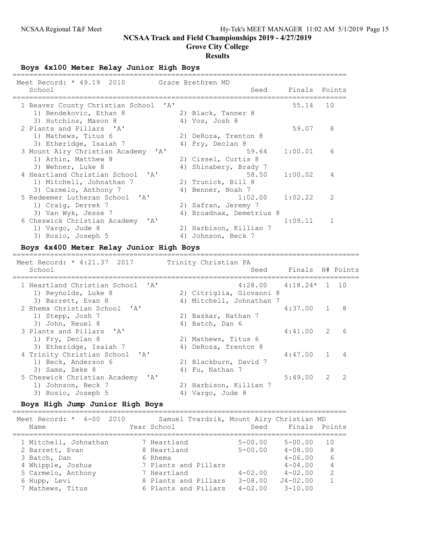Grove City College

#### Results

Boys 4x100 Meter Relay Junior High Boys

| Meet Record: * 49.19 2010<br>School                                                             | Grace Brethren MD<br>Finals Points<br>Seed                                       |  |
|-------------------------------------------------------------------------------------------------|----------------------------------------------------------------------------------|--|
| 1 Beaver County Christian School 'A'<br>1) Bendekovic, Ethan 8<br>3) Hutchins, Mason 8          | 55.14<br>10<br>2) Black, Tanner 8<br>4) Vos, Josh 8                              |  |
| 2 Plants and Pillars 'A'<br>1) Mathews, Titus 6                                                 | 8<br>59.07<br>2) DeRoza, Trenton 8                                               |  |
| 3) Etheridge, Isaiah 7<br>3 Mount Airy Christian Academy<br>$\mathsf{A}$<br>1) Arhin, Matthew 8 | 4) Fry, Declan 8<br>59.64<br>1:00.01<br>6<br>2) Cissel, Curtis 8                 |  |
| 3) Wehner, Luke 8<br>4 Heartland Christian School 'A'<br>1) Mitchell, Johnathan 7               | Shinabery, Brady 7<br>4)<br>58.50<br>1:00.02<br>4<br>2) Trunick, Bill 8          |  |
| 3) Carmelo, Anthony 7<br>5 Redeemer Lutheran School 'A'<br>1) Craig, Derrek 7                   | 4) Benner, Noah 7<br>1:02.22<br>$\overline{2}$<br>1:02.00<br>2) Safran, Jeremy 7 |  |
| 3) Van Wyk, Jesse 7<br>6 Cheswick Christian Academy<br>י בי                                     | Broadnax, Demetrius 8<br>4)<br>1:09.11                                           |  |
| 1) Vargo, Jude 8<br>3) Rosio, Joseph 5                                                          | 2) Harbison, Killian 7<br>Johnson, Beck 7<br>4)                                  |  |

### Boys 4x400 Meter Relay Junior High Boys

=================================================================================== Meet Record: \* 4:21.37 2017 Trinity Christian PA<br>School See Seed Finals H# Points =================================================================================== 1 Heartland Christian School 'A' 4:28.00 4:18.24\* 1 10 1) Reynolds, Luke 8 2) Citriglia, Giovanni 8 3) Barrett, Evan 8 (4) Mitchell, Johnathan 7 2 Rhema Christian School 'A' 4:37.00 1 8 1) Stepp, Josh 7 2) Baskar, Nathan 7 3) John, Reuel 8 4) Batch, Dan 6 3 Plants and Pillars 'A' 4:41.00 2 6 1) Fry, Declan 8 2) Mathews, Titus 6 3) Etheridge, Isaiah 7 (4) DeRoza, Trenton 8 4 Trinity Christian School 'A' 4:47.00 1 4 1) Beck, Anderson 6 2) Blackburn, David 7 3) Sams, Zeke 8 4) Fu, Nathan 7 5 Cheswick Christian Academy 'A' 5:49.00 2 2 1) Johnson, Beck 7 2) Harbison, Killian 7 3) Rosio, Joseph 5 4) Vargo, Jude 8

### Boys High Jump Junior High Boys

================================================================================ Meet Record: \* 6-00 2010 Samuel Tvardzik, Mount Airy Christian MD Name Year School Seed Finals Points ================================================================================ 1 Mitchell, Johnathan 7 Heartland 5-00.00 5-00.00 10 2 Barrett, Evan 8 Heartland 5-00.00 4-08.00 8 3 Batch, Dan 6 Rhema 4-06.00 6 4 Whipple, Joshua 7 Plants and Pillars 4-04.00 4 5 Carmelo, Anthony 7 Heartland 4-02.00 4-02.00 2 6 Hupp, Levi 8 Plants and Pillars 3-08.00 J4-02.00 1 7 Mathews, Titus 6 Plants and Pillars 4-02.00 3-10.00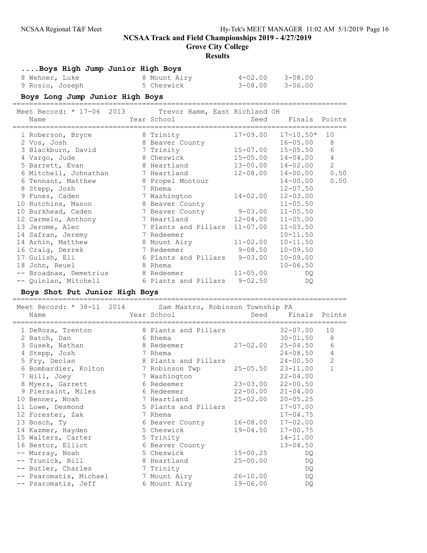Grove City College

#### Results

....Boys High Jump Junior High Boys

| 8 Wehner, Luke  | 8 Mount Airy | $4 - 02.00$ $3 - 08.00$ |             |
|-----------------|--------------|-------------------------|-------------|
| 9 Rosio, Joseph | 5 Cheswick   | 3-08.00                 | $3 - 06.00$ |

#### Boys Long Jump Junior High Boys

================================================================================

| Meet Record: * 17-06 2013 Trevor Hamm, East Richland OH<br>Name<br>======================= | Year School and the School and the School<br>========================== | Seed         | Finals Points             |                |
|--------------------------------------------------------------------------------------------|-------------------------------------------------------------------------|--------------|---------------------------|----------------|
| 1 Roberson, Bryce                                                                          | 8 Trinity                                                               | $17 - 09.00$ | $17 - 10.50*$             | 10             |
| 2 Vos, Josh                                                                                | 8 Beaver County                                                         |              | $16 - 05.00$              | 8              |
| 3 Blackburn, David                                                                         | 7 Trinity                                                               |              | 15-07.00 15-05.50         | 6              |
| 4 Vargo, Jude                                                                              | 8 Cheswick                                                              |              | $15 - 05.00$ $14 - 04.00$ | $\overline{4}$ |
| 5 Barrett, Evan                                                                            | 8 Heartland 13-00.00 14-02.00                                           |              |                           | $\overline{2}$ |
| 6 Mitchell, Johnathan 7 Heartland                                                          |                                                                         |              | $12 - 08.00$ $14 - 00.00$ | 0.50           |
| 6 Tennant, Matthew                                                                         | 8 Propel Montour                                                        |              | $14 - 00.00$              | 0.50           |
| 8 Stepp, Josh                                                                              | 7 Rhema                                                                 |              | $12 - 07.50$              |                |
| 9 Funes, Caden                                                                             | 7 Washington                                                            | $14 - 02.00$ | $12 - 03.00$              |                |
| 10 Hutchins, Mason                                                                         | 8 Beaver County                                                         |              | $11 - 05.50$              |                |
| 10 Burkhead, Caden                                                                         | 7 Beaver County 9-03.00 11-05.50                                        |              |                           |                |
| 12 Carmelo, Anthony                                                                        | 7 Heartland 12-04.00 11-05.00                                           |              |                           |                |
| 13 Jerome, Alec                                                                            | 7 Plants and Pillars                                                    | $11 - 07.00$ | $11 - 03.50$              |                |
| 14 Safran, Jeremy                                                                          | 7 Redeemer                                                              |              | $10 - 11.50$              |                |
| 14 Arhin, Matthew                                                                          | 8 Mount Airy                                                            | $11 - 02.00$ | $10 - 11.50$              |                |
| 16 Craig, Derrek                                                                           | 7 Redeemer                                                              | $9 - 08.50$  | $10 - 09.50$              |                |
| 17 Gulish, Eli                                                                             | 6 Plants and Pillars                                                    | $9 - 03.00$  | $10 - 09.00$              |                |
| 18 John, Reuel                                                                             | 8 Rhema                                                                 |              | $10 - 06.50$              |                |
| -- Broadnax, Demetrius                                                                     | 8 Redeemer 11-05.00                                                     |              | DQ.                       |                |
| -- Quinlan, Mitchell                                                                       | 6 Plants and Pillars 9-02.50                                            |              | DQ                        |                |

#### Boys Shot Put Junior High Boys ================================================================================

Meet Record: \* 38-11 2014 Sam Mastro, Robinson Township PA Name The Year School Seed Finals Points ================================================================================ 1 DeRoza, Trenton 8 Plants and Pillars 32-07.00 10 2 Batch, Dan 6 Rhema 30-01.50 8 3 Susek, Nathan 8 Redeemer 27-02.00 25-04.50 6 4 Stepp, Josh 7 Rhema 24-08.50 4 5 Fry, Declan 8 Plants and Pillars 24-00.50 2 6 Bombardier, Kolton 7 Robinson Twp 25-05.50 23-11.00 1 7 Hill, Joey 7 Washington 22-04.00 8 Myers, Garrett 6 Redeemer 23-03.00 22-00.50 9 Piersaint, Miles 6 Redeemer 22-00.00 21-04.00 10 Benner, Noah 7 Heartland 25-02.00 20-05.25 11 Lowe, Desmond 5 Plants and Pillars 17-07.00 12 Forester, Zak 7 Rhema 17-04.75 13 Bosch, Ty 6 Beaver County 16-08.00 17-02.00 14 Kazmer, Hayden 5 Cheswick 19-04.50 17-00.75 15 Walters, Carter 5 Trinity 14-11.00 16 Bestor, Elliot 6 Beaver County 13-04.50 -- Murray, Noah 5 Cheswick 15-00.25 DQ -- Trunick, Bill 8 Heartland 25-00.00 DQ -- Butler, Charles 7 Trinity DQ -- Psaromatis, Michael 7 Mount Airy 26-10.00 DQ -- Psaromatis, Jeff 6 Mount Airy 19-06.00 DQ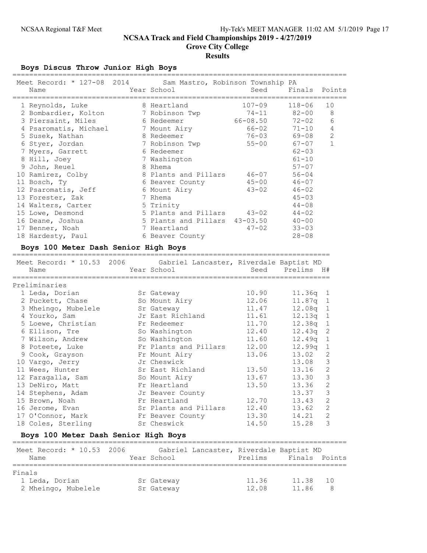## Boys Discus Throw Junior High Boys

|        | Meet Record: * 127-08 2014<br>Name   | Sam Mastro, Robinson Township PA<br>Year School | Seed         | Finals        | Points         |
|--------|--------------------------------------|-------------------------------------------------|--------------|---------------|----------------|
|        | 1 Reynolds, Luke                     | 8 Heartland                                     | $107 - 09$   | $118 - 06$    | 10             |
|        | 2 Bombardier, Kolton                 | 7 Robinson Twp                                  | $74 - 11$    | $82 - 00$     | 8              |
|        | 3 Piersaint, Miles                   | 6 Redeemer                                      | $66 - 08.50$ | $72 - 02$     | 6              |
|        | 4 Psaromatis, Michael                | 7 Mount Airy                                    | $66 - 02$    | $71 - 10$     | 4              |
|        | 5 Susek, Nathan                      | 8 Redeemer                                      | $76 - 03$    | 69-08         | 2              |
|        | 6 Styer, Jordan                      | 7 Robinson Twp                                  | $55 - 00$    | $67 - 07$     | $\mathbf{1}$   |
|        | 7 Myers, Garrett                     | 6 Redeemer                                      |              | $62 - 03$     |                |
|        | 8 Hill, Joey                         | 7 Washington                                    |              | $61 - 10$     |                |
|        | 9 John, Reuel                        | 8 Rhema                                         |              | $57 - 07$     |                |
|        | 10 Ramirez, Colby                    | 8 Plants and Pillars                            | $46 - 07$    | $56 - 04$     |                |
|        | 11 Bosch, Ty                         | 6 Beaver County                                 | $45 - 00$    | $46 - 07$     |                |
|        | 12 Psaromatis, Jeff                  | 6 Mount Airy                                    | $43 - 02$    | $46 - 02$     |                |
|        | 13 Forester, Zak                     | 7 Rhema                                         |              | $45 - 03$     |                |
|        | 14 Walters, Carter                   | 5 Trinity                                       |              | $44 - 08$     |                |
|        | 15 Lowe, Desmond                     | 5 Plants and Pillars                            | $43 - 02$    | $44 - 02$     |                |
|        | 16 Deane, Joshua                     | 5 Plants and Pillars                            | $43 - 03.50$ | $40 - 00$     |                |
|        | 17 Benner, Noah                      | 7 Heartland                                     | $47 - 02$    | $33 - 03$     |                |
|        | 18 Hardesty, Paul                    | 6 Beaver County                                 |              | $28 - 08$     |                |
|        | Boys 100 Meter Dash Senior High Boys | -====================================           |              |               |                |
|        | Meet Record: * 10.53 2006            | Gabriel Lancaster, Riverdale Baptist MD         |              |               |                |
|        | Name                                 | Year School                                     | Seed         | Prelims       | H#             |
|        |                                      |                                                 |              |               |                |
|        | Preliminaries                        |                                                 |              |               |                |
|        | 1 Leda, Dorian                       | Sr Gateway                                      | 10.90        | 11.36q        | 1              |
|        | 2 Puckett, Chase                     | So Mount Airy                                   | 12.06        | 11.87q        | 1              |
|        | 3 Mheingo, Mubelele                  | Sr Gateway                                      | 11.47        | 12.08q        | 1              |
|        | 4 Yourko, Sam                        | Jr East Richland                                | 11.61        | 12.13q        | $\mathbf 1$    |
|        | 5 Loewe, Christian                   | Fr Redeemer                                     | 11.70        | 12.38q        | $\mathbf 1$    |
|        | 6 Ellison, Tre                       | So Washington                                   | 12.40        | 12.43q        | $\sqrt{2}$     |
|        | 7 Wilson, Andrew                     | So Washington                                   | 11.60        | 12.49q        | $\mathbf 1$    |
|        | 8 Poteete, Luke                      | Fr Plants and Pillars                           | 12.00        | 12.99q        | $\mathbf 1$    |
|        | 9 Cook, Grayson                      | Fr Mount Airy                                   | 13.06        | 13.02         | 2              |
|        | 10 Vargo, Jerry                      | Jr Cheswick                                     |              | 13.08         | $\mathfrak{Z}$ |
|        | 11 Wees, Hunter                      | Sr East Richland                                | 13.50        | 13.16         | $\mathbf{2}$   |
|        | 12 Faragalla, Sam                    | So Mount Airy                                   | 13.67        | 13.30         | 3              |
|        | 13 DeNiro, Matt                      | Fr Heartland                                    | 13.50        | 13.36         | $\mathbf{2}$   |
|        | 14 Stephens, Adam                    | Jr Beaver County                                |              | 13.37         | 3              |
|        | 15 Brown, Noah                       | Fr Heartland                                    | 12.70        | 13.43         | 2              |
|        | 16 Jerome, Evan                      | Sr Plants and Pillars                           | 12.40        | 13.62         | 2              |
|        | 17 O'Connor, Mark                    | Fr Beaver County                                | 13.30        | 14.21         | 2              |
|        | 18 Coles, Sterling                   | Sr Cheswick                                     | 14.50        | 15.28         | 3              |
|        | Boys 100 Meter Dash Senior High Boys |                                                 |              |               |                |
|        | Meet Record: * 10.53 2006            | Gabriel Lancaster, Riverdale Baptist MD         |              |               |                |
|        | Name                                 | Year School                                     | Prelims      | Finals Points |                |
|        |                                      |                                                 |              |               |                |
| Finals |                                      |                                                 |              |               |                |
|        | 1 Leda, Dorian                       | Sr Gateway                                      | 11.36        | 11.38         | 10             |

2 Mheingo, Mubelele Sr Gateway 12.08 11.86 8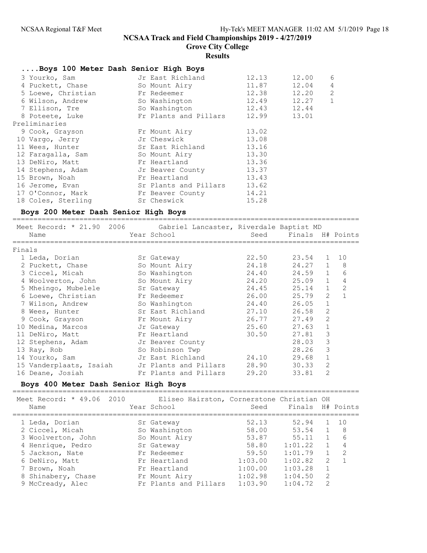Grove City College

## Results

## ....Boys 100 Meter Dash Senior High Boys

| 3 Yourko, Sam      | Jr East Richland      | 12.13       | 12.00 | 6              |
|--------------------|-----------------------|-------------|-------|----------------|
| 4 Puckett, Chase   | So Mount Airy         | 11.87       | 12.04 | $\overline{4}$ |
| 5 Loewe, Christian | Fr Redeemer           | 12.38       | 12.20 | 2              |
| 6 Wilson, Andrew   | So Washington         | 12.49       | 12.27 | 1              |
| 7 Ellison, Tre     | So Washington         | 12.43       | 12.44 |                |
| 8 Poteete, Luke    | Fr Plants and Pillars | 12.99 13.01 |       |                |
| Preliminaries      |                       |             |       |                |
| 9 Cook, Grayson    | Fr Mount Airy         | 13.02       |       |                |
| 10 Vargo, Jerry    | Jr Cheswick           | 13.08       |       |                |
| 11 Wees, Hunter    | Sr East Richland      | 13.16       |       |                |
| 12 Faragalla, Sam  | So Mount Airy         | 13.30       |       |                |
| 13 DeNiro, Matt    | Fr Heartland          | 13.36       |       |                |
| 14 Stephens, Adam  | Jr Beaver County      | 13.37       |       |                |
| 15 Brown, Noah     | Fr Heartland          | 13.43       |       |                |
| 16 Jerome, Evan    | Sr Plants and Pillars | 13.62       |       |                |
| 17 O'Connor, Mark  | Fr Beaver County      | 14.21       |       |                |
| 18 Coles, Sterling | Sr Cheswick           | 15.28       |       |                |

## Boys 200 Meter Dash Senior High Boys

|        | Name                               |             | Meet Record: * 21.90 2006 Gabriel Lancaster, Riverdale Baptist MD<br>Year School | Seed  | Finals H# Points |                |    |
|--------|------------------------------------|-------------|----------------------------------------------------------------------------------|-------|------------------|----------------|----|
| Finals |                                    |             |                                                                                  |       |                  |                |    |
|        | 1 Leda, Dorian                     |             | Sr Gateway                                                                       | 22.50 | 23.54 1          |                | 10 |
|        | 2 Puckett, Chase                   |             | So Mount Airy                                                                    | 24.18 | $24.27$ 1        |                | 8  |
|        | 3 Ciccel, Micah So Washington      |             |                                                                                  | 24.40 | $24.59$ 1        |                | 6  |
|        | 4 Woolverton, John                 |             | So Mount Airy                                                                    | 24.20 | 25.09            | $\mathbf{1}$   | 4  |
|        | 5 Mheingo, Mubelele                |             | Sr Gateway                                                                       | 24.45 | 25.14            | $\mathbf{1}$   | 2  |
|        | 6 Loewe, Christian                 | Fr Redeemer |                                                                                  | 26.00 | 25.79            | 2              |    |
|        | 7 Wilson, Andrew So Washington     |             |                                                                                  | 24.40 | 26.05            | $\mathbf{1}$   |    |
|        | 8 Wees, Hunter                     |             | Sr East Richland                                                                 | 27.10 | 26.58            | 2              |    |
|        | 9 Cook, Grayson                    |             | Fr Mount Airy                                                                    | 26.77 | 27.49            | 2              |    |
|        | 10 Medina, Marcos                  |             | Jr Gateway                                                                       | 25.60 | 27.63            | $\mathbf{1}$   |    |
|        | 11 DeNiro, Matt                    |             | Fr Heartland                                                                     | 30.50 | 27.81            | 3              |    |
|        | 12 Stephens, Adam Jr Beaver County |             |                                                                                  |       | 28.03            | 3              |    |
|        | 13 Ray, Rob                        |             | So Robinson Twp                                                                  |       | 28.26            | 3              |    |
|        | 14 Yourko, Sam                     |             | Jr East Richland                                                                 | 24.10 | 29.68            | $\mathbf 1$    |    |
|        | 15 Vanderplaats, Isaiah            |             | Jr Plants and Pillars                                                            | 28.90 | 30.33            | 2              |    |
|        | 16 Deane, Josiah                   |             | Fr Plants and Pillars                                                            | 29.20 | 33.81            | $\overline{2}$ |    |

## Boys 400 Meter Dash Senior High Boys

===================================================================================

| Meet Record: * 49.06 2010<br>Name | Eliseo Hairston, Cornerstone Christian OH<br>Year School | Seed    | Finals H# Points |               |                |
|-----------------------------------|----------------------------------------------------------|---------|------------------|---------------|----------------|
| 1 Leda, Dorian                    | Sr Gateway                                               | 52.13   | 52.94            |               | 10             |
| 2 Ciccel, Micah                   | So Washington                                            | 58.00   | 53.54            |               | - 8            |
| 3 Woolverton, John                | So Mount Airy                                            | 53.87   | 55.11            |               | 6              |
| 4 Henrique, Pedro                 | Sr Gateway                                               | 58.80   | 1:01.22          |               | $\overline{4}$ |
| 5 Jackson, Nate                   | Fr Redeemer                                              | 59.50   | 1:01.79          |               | 2              |
| 6 DeNiro, Matt                    | Fr Heartland                                             | 1:03.00 | 1:02.82          | 2             |                |
| 7 Brown, Noah                     | Fr Heartland                                             | 1:00.00 | 1:03.28          |               |                |
| 8 Shinabery, Chase                | Fr Mount Airy                                            | 1:02.98 | 1:04.50          | 2             |                |
| 9 McCready, Alec                  | Fr Plants and Pillars                                    | 1:03.90 | 1:04.72          | $\mathcal{L}$ |                |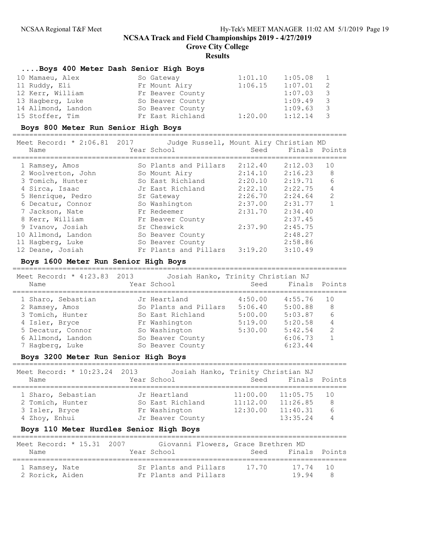Grove City College

#### **Results**

### ....Boys 400 Meter Dash Senior High Boys

| 10 Mamaeu, Alex    | So Gateway       | 1:01.10 | 1:05.08 | $\mathbf{1}$ |
|--------------------|------------------|---------|---------|--------------|
| 11 Ruddy, Eli      | Fr Mount Airy    | 1:06.15 | 1:07.01 | -2           |
| 12 Kerr, William   | Fr Beaver County |         | 1:07.03 | - 3          |
| 13 Hagberg, Luke   | So Beaver County |         | 1:09.49 | - 3          |
| 14 Allmond, Landon | So Beaver County |         | 1:09.63 | - 3          |
| 15 Stoffer, Tim    | Fr East Richland | 1:20.00 | 1:12.14 | - 3          |

### Boys 800 Meter Run Senior High Boys

================================================================================

| Meet Record: * 2:06.81 2017 | Judge Russell, Mount Airy Christian MD |         |         |               |
|-----------------------------|----------------------------------------|---------|---------|---------------|
| Name                        | Year School                            | Seed    |         | Finals Points |
|                             |                                        |         |         |               |
| 1 Ramsey, Amos              | So Plants and Pillars                  | 2:12.40 | 2:12.03 | 10            |
| 2 Woolverton, John          | So Mount Airy                          | 2:14.10 | 2:16.23 | 8             |
| 3 Tomich, Hunter            | So East Richland                       | 2:20.10 | 2:19.71 | 6             |
| 4 Sirca, Isaac              | Jr East Richland                       | 2:22.10 | 2:22.75 | 4             |
| 5 Henrique, Pedro           | Sr Gateway                             | 2:26.70 | 2:24.64 | $\mathcal{L}$ |
| 6 Decatur, Connor           | So Washington                          | 2:37.00 | 2:31.77 |               |
| 7 Jackson, Nate             | Fr Redeemer                            | 2:31.70 | 2:34.40 |               |
| 8 Kerr, William             | Fr Beaver County                       |         | 2:37.45 |               |
| 9 Ivanov, Josiah            | Sr Cheswick                            | 2:37.90 | 2:45.75 |               |
| 10 Allmond, Landon          | So Beaver County                       |         | 2:48.27 |               |
| 11 Hagberg, Luke            | So Beaver County                       |         | 2:58.86 |               |
| 12 Deane, Josiah            | Fr Plants and Pillars                  | 3:19.20 | 3:10.49 |               |

#### Boys 1600 Meter Run Senior High Boys

================================================================================ Meet Record: \* 4:23.83 2013 Josiah Hanko, Trinity Christian NJ

|                    | MEEL VELATION, HITSPIGS TATS AND AND THROUGH TITHILE A CHITOLICH MA |         |               |              |
|--------------------|---------------------------------------------------------------------|---------|---------------|--------------|
| Name               | Year School                                                         | Seed    | Finals Points |              |
| 1 Sharo, Sebastian | Jr Heartland                                                        | 4:50.00 | 4:55.76       | 10           |
| 2 Ramsey, Amos     | So Plants and Pillars                                               | 5:06.40 | 5:00.88       | 8            |
| 3 Tomich, Hunter   | So East Richland                                                    | 5:00.00 | 5:03.87       | 6            |
| 4 Isler, Bryce     | Fr Washington                                                       | 5:19.00 | 5:20.58       | 4            |
| 5 Decatur, Connor  | So Washington                                                       | 5:30.00 | 5:42.54       | 2            |
| 6 Allmond, Landon  | So Beaver County                                                    |         | 6:06.73       | $\mathbf{1}$ |
| 7 Hagberg, Luke    | So Beaver County                                                    |         | 6:23.44       |              |

### Boys 3200 Meter Run Senior High Boys

| Meet Record: * 10:23.24 2013<br>Name | Josiah Hanko, Trinity Christian NJ<br>Year School |          | Seed Finals Points |         |
|--------------------------------------|---------------------------------------------------|----------|--------------------|---------|
| 1 Sharo, Sebastian                   | Jr Heartland                                      | 11:00.00 | 11:05.75           | 1 O     |
| 2 Tomich, Hunter                     | So East Richland                                  | 11:12.00 | 11:26.85           | 8       |
| 3 Isler, Bryce                       | Fr Washington                                     | 12:30.00 | 11:40.31           | $6^{6}$ |
| 4 Zhoy, Enhui                        | Jr Beaver County                                  |          | 13:35.24           | 4       |

#### Boys 110 Meter Hurdles Senior High Boys

| Meet Record: * 15.31 2007<br>Name | Year School                                    | Giovanni Flowers, Grace Brethren MD<br>Seed Finals Points |    |
|-----------------------------------|------------------------------------------------|-----------------------------------------------------------|----|
| 1 Ramsey, Nate<br>2 Rorick, Aiden | Sr Plants and Pillars<br>Fr Plants and Pillars | 17.70<br>17.74 10<br>19.94                                | -8 |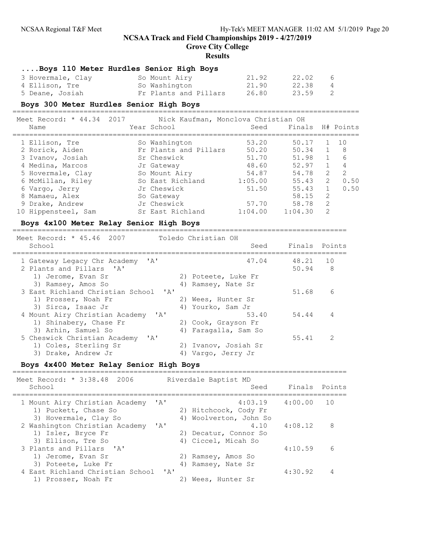Grove City College

#### **Results**

## ....Boys 110 Meter Hurdles Senior High Boys

| 3 Hovermale, Clay | So Mount Airy         | 21.92 | 22.02 | - 6            |
|-------------------|-----------------------|-------|-------|----------------|
| 4 Ellison, Tre    | So Washington         | 21.90 | 22.38 | $\overline{4}$ |
| 5 Deane, Josiah   | Fr Plants and Pillars | 26.80 | 23.59 | $\overline{2}$ |

#### Boys 300 Meter Hurdles Senior High Boys

===================================================================================

| Meet Record: * 44.34 2017                                                                                                                                                                                                                                                                                                          |  | Nick Kaufman, Monclova Christian OH |  |                                                                                                                                                                                                                                                                                                                                  |
|------------------------------------------------------------------------------------------------------------------------------------------------------------------------------------------------------------------------------------------------------------------------------------------------------------------------------------|--|-------------------------------------|--|----------------------------------------------------------------------------------------------------------------------------------------------------------------------------------------------------------------------------------------------------------------------------------------------------------------------------------|
| $\mathbf{X}$ $\mathbf{Y}$ $\mathbf{Y}$ $\mathbf{Y}$ $\mathbf{Y}$ $\mathbf{Y}$ $\mathbf{Y}$ $\mathbf{Y}$ $\mathbf{Y}$ $\mathbf{Y}$ $\mathbf{Y}$ $\mathbf{Y}$ $\mathbf{Y}$ $\mathbf{Y}$ $\mathbf{Y}$ $\mathbf{Y}$ $\mathbf{Y}$ $\mathbf{Y}$ $\mathbf{Y}$ $\mathbf{Y}$ $\mathbf{Y}$ $\mathbf{Y}$ $\mathbf{Y}$ $\mathbf{Y}$ $\mathbf{$ |  | $27 - 10 - 0 - 1 - 10 = 7$          |  | $\alpha$ and $\alpha$ and $\alpha$ and $\alpha$ and $\alpha$ and $\alpha$ and $\alpha$ and $\alpha$ and $\alpha$ and $\alpha$ and $\alpha$ and $\alpha$ and $\alpha$ and $\alpha$ and $\alpha$ and $\alpha$ and $\alpha$ and $\alpha$ and $\alpha$ and $\alpha$ and $\alpha$ and $\alpha$ and $\alpha$ and $\alpha$ and $\alpha$ |

| Name                | Year School           | Seed    | Finals  |               | H# Points      |
|---------------------|-----------------------|---------|---------|---------------|----------------|
| 1 Ellison, Tre      | So Washington         | 53.20   | 50.17   |               | 10             |
| 2 Rorick, Aiden     | Fr Plants and Pillars | 50.20   | 50.34   | $\mathbf{1}$  | 8              |
| 3 Ivanov, Josiah    | Sr Cheswick           | 51.70   | 51.98   | $\mathbf{1}$  | 6              |
| 4 Medina, Marcos    | Jr Gateway            | 48.60   | 52.97   | $\mathbf{1}$  | $\overline{4}$ |
| 5 Hovermale, Clay   | So Mount Airy         | 54.87   | 54.78   | 2             | 2              |
| 6 McMillan, Riley   | So East Richland      | 1:05.00 | 55.43   | 2             | 0.50           |
| 6 Vargo, Jerry      | Jr Cheswick           | 51.50   | 55.43   | $\mathbf{1}$  | 0.50           |
| 8 Mamaeu, Alex      | So Gateway            |         | 58.15   | 2             |                |
| 9 Drake, Andrew     | Jr Cheswick           | 57.70   | 58.78   | 2             |                |
| 10 Hippensteel, Sam | Sr East Richland      | 1:04.00 | 1:04.30 | $\mathcal{L}$ |                |

### Boys 4x100 Meter Relay Senior High Boys

================================================================================ Meet Record: \* 45.46 2007 Toledo Christian OH School School School Seed Finals Points ================================================================================ 1 Gateway Legacy Chr Academy 'A' 47.04 48.21 10<br>2 Plants and Pillars 'A' 47.04 50.94 8 2 Plants and Pillars 'A' 1) Jerome, Evan Sr 2) Poteete, Luke Fr 3) Ramsey, Amos So 4) Ramsey, Nate Sr 3 East Richland Christian School 'A' 51.68 6 1) Prosser, Noah Fr<br>3) Sirca, Isaac Jr 2) Wees, Hunter Sr<br>4) Yourko, Sam Jr<br>53.40 54.44 4 Mount Airy Christian Academy 'A' 53.40 54.44 4 1) Shinabery, Chase Fr <sup>2</sup> 2) Cook, Grayson Fr<br>3) Arhin, Samuel So 3) Arhin, Samuel So 3) Arhin, Samuel So 4) Faragalla, Sam So 4) Cheswick Christian Academy 'A' 5 Cheswick Christian Academy 'A' 55.41 2 1) Coles, Sterling Sr 2) Ivanov, Josiah Sr 3) Drake, Andrew Jr (4) Vargo, Jerry Jr

### Boys 4x400 Meter Relay Senior High Boys

| Meet Record: * 3:38.48 2006<br>School                                                                        | Riverdale Baptist MD<br>Seed                               | Finals Points |     |
|--------------------------------------------------------------------------------------------------------------|------------------------------------------------------------|---------------|-----|
| $^{\prime}$ A $^{\prime}$<br>1 Mount Airy Christian Academy<br>1) Puckett, Chase So<br>3) Hovermale, Clay So | 4:03.19<br>2) Hitchcock, Cody Fr<br>4) Woolverton, John So | 4:00.00       | 1 O |
| 2 Washington Christian Academy<br>$\mathsf{A}$<br>1) Isler, Bryce Fr<br>3) Ellison, Tre So                   | 4.10<br>2) Decatur, Connor So<br>4) Ciccel, Micah So       | 4:08.12       | 8   |
| 3 Plants and Pillars 'A'<br>1) Jerome, Evan Sr<br>3) Poteete, Luke Fr                                        | 2) Ramsey, Amos So<br>4) Ramsey, Nate Sr                   | 4:10.59       | 6   |
| 4 East Richland Christian School<br><b>IAI</b><br>1) Prosser, Noah Fr                                        | 2) Wees, Hunter Sr                                         | 4:30.92       |     |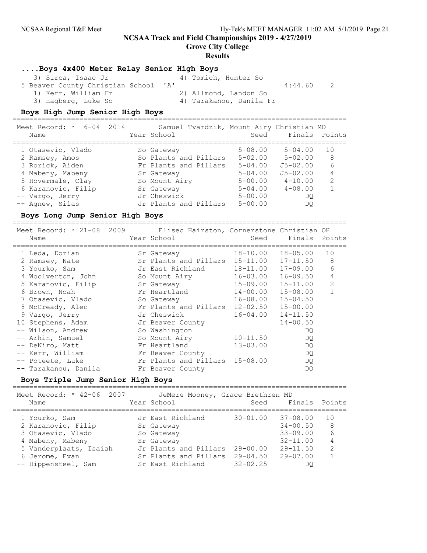Grove City College

#### **Results**

### ....Boys 4x400 Meter Relay Senior High Boys

| 3) Sirca, Isaac Jr                   | 4) Tomich, Hunter So    |         |  |
|--------------------------------------|-------------------------|---------|--|
| 5 Beaver County Christian School 'A' |                         | 4:44.60 |  |
| 1) Kerr, William Fr                  | 2) Allmond, Landon So   |         |  |
| 3) Hagberg, Luke So                  | 4) Tarakanou, Danila Fr |         |  |

#### Boys High Jump Senior High Boys

================================================================================ Meet Record: \* 6-04 2014 Samuel Tvardzik, Mount Airy Christian MD Name The Year School Seed Finals Points ================================================================================ 1 Otasevic, Vlado So Gateway 5-08.00 5-04.00 10 2 Ramsey, Amos So Plants and Pillars 5-02.00 5-02.00 8 3 Rorick, Aiden Fr Plants and Pillars 5-04.00 J5-02.00 6 4 Mabeny, Mabeny Sr Gateway 5-04.00 J5-02.00 4 5 Hovermale, Clay 50 Nount Airy 5-00.00 4-10.00 2 6 Karanovic, Filip Sr Gateway 5-04.00 4-08.00 1 -- Vargo, Jerry Jr Cheswick 5-00.00 DQ -- Agnew, Silas Jr Plants and Pillars 5-00.00 DQ

#### Boys Long Jump Senior High Boys

================================================================================

| Meet Record: * 21-08 2009 Eliseo Hairston, Cornerstone Christian OH<br>Name |  | Year School                    | Seed         | Finals Points |                |
|-----------------------------------------------------------------------------|--|--------------------------------|--------------|---------------|----------------|
|                                                                             |  |                                |              |               |                |
| 1 Leda, Dorian                                                              |  | Sr Gateway                     | 18-10.00     | 18-05.00      | 10             |
| 2 Ramsey, Nate                                                              |  | Sr Plants and Pillars 15-11.00 |              | 17-11.50      | 8              |
| 3 Yourko, Sam                                                               |  | Jr East Richland               | 18-11.00     | 17-09.00      | 6              |
| 4 Woolverton, John                                                          |  | So Mount Airy                  | 16-03.00     | 16-09.50      | 4              |
| 5 Karanovic, Filip                                                          |  | Sr Gateway                     | $15 - 09.00$ | $15 - 11.00$  | $\overline{2}$ |
| 6 Brown, Noah                                                               |  | Fr Heartland                   | $14 - 00.00$ | $15 - 08.00$  |                |
| 7 Otasevic, Vlado                                                           |  | So Gateway                     | 16-08.00     | $15 - 04.50$  |                |
| 8 McCready, Alec                                                            |  | Fr Plants and Pillars 12-02.50 |              | $15 - 00.00$  |                |
| 9 Vargo, Jerry                                                              |  | Jr Cheswick                    | 16-04.00     | $14 - 11.50$  |                |
| 10 Stephens, Adam                                                           |  | Jr Beaver County               |              | $14 - 00.50$  |                |
| -- Wilson, Andrew                                                           |  | So Washington                  |              | DQ.           |                |
| -- Arhin, Samuel                                                            |  | So Mount Airy                  | $10 - 11.50$ | DQ.           |                |
| -- DeNiro, Matt                                                             |  | Fr Heartland                   | $13 - 03.00$ | DQ.           |                |
| -- Kerr, William                                                            |  | Fr Beaver County               |              | DQ.           |                |
| -- Poteete, Luke                                                            |  | Fr Plants and Pillars 15-08.00 |              | DQ.           |                |
| -- Tarakanou, Danila                                                        |  | Fr Beaver County               |              | DQ.           |                |

#### Boys Triple Jump Senior High Boys

================================================================================

| Meet Record: * 42-06 2007 | JeMere Mooney, Grace Brethren MD |                                               |
|---------------------------|----------------------------------|-----------------------------------------------|
| Name                      | Year School                      | Finals Points<br>Seed                         |
| 1 Yourko, Sam             | Jr East Richland                 | 37-08.00<br>$30 - 01.00$<br>10                |
|                           |                                  |                                               |
| 2 Karanovic, Filip        | Sr Gateway                       | $34 - 00.50$<br>8                             |
| 3 Otasevic, Vlado         | So Gateway                       | 6<br>$33 - 09.00$                             |
| 4 Mabeny, Mabeny          | Sr Gateway                       | $32 - 11.00$<br>4                             |
| 5 Vanderplaats, Isaiah    | Jr Plants and Pillars            | $\mathcal{L}$<br>$29 - 11.50$<br>$29 - 00.00$ |
| 6 Jerome, Evan            | Sr Plants and Pillars            | $29 - 04.50$<br>$29 - 07.00$                  |
| -- Hippensteel, Sam       | Sr East Richland                 | $32 - 02.25$<br>DO                            |